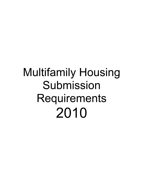# **Multifamily Housing** Submission Requirements 2010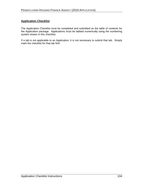### **Application Checklist**

The Application Checklist must be completed and submitted as the table of contents for the Application package. Applications must be tabbed numerically using the numbering system shown in this checklist.

If a tab is not applicable to an Application, it is not necessary to submit that tab. Simply mark the checklist for that tab N/A.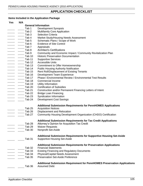# **APPLICATION CHECKLIST**

# **Items Included in the Application Package**

| <b>Yes</b> | N/A |                   |                                                                                  |
|------------|-----|-------------------|----------------------------------------------------------------------------------|
|            |     |                   | <b>General Information</b>                                                       |
|            |     | Tab 1             | <b>Development Synopsis</b>                                                      |
|            |     | Tab <sub>2</sub>  | <b>Multifamily Core Application</b>                                              |
|            |     | Tab <sub>3</sub>  | <b>Selection Criteria</b>                                                        |
|            |     | Tab 4             | Market Study/Housing Needs Assessment                                            |
|            |     | Tab <sub>5</sub>  | Schematic Plans / Scope of Work                                                  |
|            |     | Tab <sub>6</sub>  | <b>Evidence of Site Control</b>                                                  |
|            |     | Tab <sub>7</sub>  | Appraisals                                                                       |
|            |     | Tab 8             | <b>Architect's Certifications</b>                                                |
|            |     | Tab 9             | Community and Economic Impact / Community Revitalization Plan                    |
|            |     | Tab 10            | <b>Historic Preservation Documentation</b>                                       |
|            |     | Tab 11            | <b>Supportive Services</b>                                                       |
|            |     | Tab 12            | <b>Accessible Units</b>                                                          |
|            |     | Tab 13            | <b>Commitment to Offer Homeownership</b>                                         |
|            |     | Tab 14            | <b>Public Housing Authority Notification</b>                                     |
|            |     | Tab 15            | Rent Roll/Displacement of Existing Tenants                                       |
|            |     | Tab 16            | <b>Development Team Experience</b>                                               |
|            |     | Tab 17            | Phase I Environmental Review / Environmental Test Results                        |
|            |     | Tab 18            | Commercial Income                                                                |
|            |     | Tab 19            | Utility Information                                                              |
|            |     | Tab 20            | <b>Certification of Subsidies</b>                                                |
|            |     | Tab 21            |                                                                                  |
|            |     | Tab 22            | Construction and/or Permanent Financing Letters of Intent                        |
|            |     |                   | <b>Bridge Loan Financing</b>                                                     |
|            |     | Tab <sub>23</sub> | Syndication Information                                                          |
|            |     | Tab 24            | <b>Development Cost Savings</b>                                                  |
|            |     |                   | <b>Additional Submission Requirements for PennHOMES Applications</b>             |
|            |     | Tab 25            | <b>Acquisition Notices</b>                                                       |
|            |     | Tab 26            | Displacement and Relocation                                                      |
|            |     | Tab 27            | Community Housing Development Organization (CHDO) Certification                  |
|            |     |                   |                                                                                  |
|            |     |                   | <b>Additional Submission Requirements for Tax Credit Applications</b>            |
|            |     | Tab 28            | Attorney's Opinion for Acquisition Tax Credit                                    |
|            |     | Tab 29            | <b>Waiver Requests</b>                                                           |
|            |     | Tab 30            | Nonprofit Set-Aside                                                              |
|            |     |                   | <b>Additional Submission Requirements for Supportive Housing Set-Aside</b>       |
|            |     | Tab <sub>31</sub> | <b>Supportive Housing Set-Aside</b>                                              |
|            |     |                   | <b>Additional Submission Requirements for Preservation Applications</b>          |
|            |     | Tab 32            | <b>Financial Statements</b>                                                      |
|            |     | Tab 33            | <b>Existing Financing and Regulatory Documents</b>                               |
|            |     | Tab 34            | <b>Physical/Capital Needs Assessment</b>                                         |
|            |     | <b>Tab 35</b>     | <b>Preservation Set-Aside Preference</b>                                         |
|            |     |                   | <b>Additional Submission Requirement for PennHOMES Preservation Applications</b> |
|            |     | Tab 36            | <b>Assumed Debt</b>                                                              |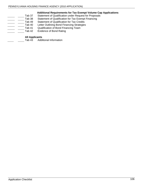# **Additional Requirements for Tax Exempt Volume Cap Applications**  roposals<sup>'</sup><br>incing

| Tab 37  | Statement of Qualification under Request for Propos |
|---------|-----------------------------------------------------|
| Tab 38  | Statement of Qualification for Tax Exempt Financing |
| Tab 49. | <b>Statement of Qualification for Tax Credits</b>   |
| Tab 40  | Letter Outlining Bond Financing Strategies          |
| Tab 41  | Qualification of Bond Financing Team                |
| Tab 42  | Evidence of Bond Rating                             |

#### **All Applicants**

Tab 43 Additional Information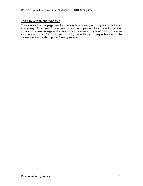### **Tab 1 Development Synopsis**

The synopsis is a **one page** description of the development, including, but not limited to, a summary of the need for the development; its impact on the community; targeted population; square footage of the development; number and type of buildings; number and bedroom size of units in each building; amenities and unique features of the development; and a description of nearby services.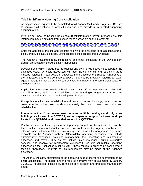#### **Tab 2 Multifamily Housing Core Application**

An Application is required to be completed for all Agency Multifamily programs. Be sure to complete all sections, answer all questions, and provide all requested supporting documentation. The contract of the contract of the contract of the contract of the contract of the contract of the contract of the contract of the contract of the contract of the contract of the contract of the contract of

If you do not know the Census Tract and/or Block information for your proposed site, this information may be obtained from census maps accessible on the internet at:

http://factfinder.census.gov/servlet/ReferenceMapFramesetServlet? bm=y&- lang=en

Enter the address of the site and continue following the directions to obtain census tract, block, group, legislative districts, voting district, school district and municipality.

The Agency's maximum fees, instructions and other limitations of the Development Budget are located in the Application Instructions.

Developments which include both residential and commercial space must separate the estimated costs. All costs associated with both the commercial and residential areas must be included in Total Development Costs in the Development Budget. A narrative of the anticipated use of the commercial space must also be provided including an exact square footage so that the Agency can evaluate the impact of the commercial space on the development.

Applications must also provide a breakdown of any off-site improvements, site work, demolition costs, tap-in or municipal fees and/or any single budget line that includes multiple costs that are part of the Development Budget.

For applications involving rehabilitation and new construction buildings, the construction costs must be broken down to show separately the costs of new construction and rehabilitation.

#### **Please note that if the development contains multiple buildings and only some buildings are located in a QCT/DDA, submit separate budgets for those buildings located in a QCT/DDA and those that are not in a QCT/DDA.**

Per line instructions for completing the Operating Budget and budget narrative can be found in the operating budget instructions, as well as on the Agency's website. In addition, per unit controllable operating expense ranges by geographic region are available on the Agency's website. (Controllable operating expenses only include administrative expenses, excluding management fee, operating and maintenance expenses, and payroll. They do not include taxes, insurance, utilities, supportive services, and reserve for replacement expenses.) Per unit controllable operating expenses on the Application must be within these ranges in order to be considered a feasible Application. Waivers of this requirement may be made at the Agency's discretion. The contract of the contract of the contract of the contract of the contract of the contract of the contract of the contract of the contract of the contract of the contract of the contract of the contract of th

The Agency will allow submission of the operating budget prior to the submission of the entire application. The budget and the required narrative may be submitted by January 15, 2010. In addition, please provide the property location and proposed management agent.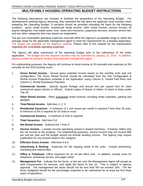# **MULTIFAMILY HOUSING OPERATING BUDGET INSTRUCTIONS**

The following descriptions are included to facilitate the preparation of the Operating Budget. For developments seeking Agency financing, they represent the key items the applicant must consider when preparing the Operating Budget. A narrative should be provided indicating the basis for the following numbers: gross rental income, commercial rental income, other rental income, service income, all payroll categories, real estate taxes, misc. taxes and insurance, supportive services, investor service fee, and any other categories that may require an explanation.

The per-unit controllable operating expenses must fall within the Agency's acceptable range or within the average range for the applicable management agent to meet the requirements for a feasible application. The ranges are available on the Agency's website. Please refer to this website for the requirements regarding the controllable operating expenses.

The Agency will allow submission of the operating budget prior to the submission of the entire application. The budget and the required narrative maybe submitted by January 15, 2010. In addition, please provide the property location and proposed management agent.<br>For underwriting purposes, the Agency will continue to trend income at 2% annually and expenses at 3%

annually for the 2010 funding round.

- 1. **Gross Rental Income** Annual gross potential income based on the monthly rents and unit configuration. The Gross Rental Income should be calculated from the Unit Configuration & Rental Income Projections schedule in the Application, using Column A, Tenant Paid Rent, and Column C, Rental Assistance Payment.
- 2. **Commercial Income** Specify square footage and annual rent per square foot for each commercial space (stores or offices). Submit copies of leases or letters of intent to lease under Tab 18.
- 3. **Other Rental Income** Other substantial rental revenue, including rental subsidies, parking and garages. **Example 20** and the contract of the contract of the contract of the contract of the contract of the contract of the contract of the contract of the contract of the contract of the contract of the contract of the
- 4. **Total Rental Income** Add lines 1, 2, 3.
- 5. **Residential Vacancies** A minimum of 1 unit vacant per month is required if less than 20 units. A minimum of 5% is required for 20 units or more.
- 6. **Commercial Vacancy** A minimum of 10% is required.
- 7. **Total Vacancies** Add lines 5,6.
- 8**. Net Rental Income** Subtract line 7 from 4.
- 9**. Service Income** Laundry income specifying owned or leased machines. If leased, reflect only the net income to the property. For underwriting purposes, service income may not exceed \$60 per unit per year and the budget should not include vending income. The Agency may require justification for any amount listed in this category.
- 10**. Effective Gross Income** Add lines 8 & 9.
- 11**. Advertising & Renting** Expenses for the ongoing rental of the units. Include advertising, marketing and referral fees.
- 12**. Office & Telephone** Office expenses for an on-site office only. In addition, include costs for telephone, answering service, and pager rental.
- 13**. Management Fee** Indicate the fee factor, or fee per unit, the Management Agent will accept as total compensation for services, and apply the factor to line 10. This is subject to Agency approval. The management fee factor should not be less than 5% nor exceed 10%. The fee factor budgeted should be the percentage expected to be maintained for at least the first three years of operations.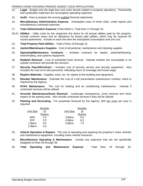- 14**. Legal** Budget only the legal fees and costs directly related to property operations. Partnership and syndication expenses are not property operating expenses.
- 15. **Audit** Fees to prepare the annual audited financial statements.
- 16**. Miscellaneous Administrative Expense** Anticipated costs of home visits, credit reports and miscellaneous overhead expenses.
- 17. **Total Administrative Expense** (Total Admin.)- Total lines 11 through 16.
- 18-22. **Utilities** Utility costs by the respective line items for all annual utilities paid by the property. Include common areas and an allowance for tenant paid utilities, which may be required for vacant apartments. Include on each line item the anticipated consumption and unit cost.
- 23. **Total Property Paid Utilities** Total of lines 18 through 22.
- 24. **Janitor/Maintenance Supplies** Cost of all janitorial, maintenance and cleaning supplies.
- 25. **Operating/Maintenance Contracts** Includes contracts for repairs, janitorial/cleaning, exterminating, and systems equipment.
- 26. **Rubbish Removal** Cost of scheduled trash removal. Indicate whether the municipality or an outside contractor will provide the services.
- 27. **Security Payroll/Contract** Includes cost of security service and security equipment. Also includes the cost of on-site personnel, indicating hours of coverage and hourly wage.
- 28. **Repairs Materials** Supplies, tools, etc. for repairs to the building and equipment.
- 29. **Elevator Maintenance** Estimate the cost of a full preventative maintenance contract, which is required by the Agency.
- 30. **HVAC Maintenance** The cost for heating and air conditioning maintenance. Indicate if contracted services will be utilized.
- 31. **Grounds Maintenance/Snow Removal** Landscape maintenance, snow removal and minor repairs to the parking area. Also include contracted services if they will be utilized.
- 32. **Painting and Decorating** For properties financed by the Agency, \$20 per room per year is required. The contract of the contract of the contract of the contract of the contract of the contract of the contract of the contract of the contract of the contract of the contract of the contract of the contract of the

|                          | <b>Number</b> |                       | <u>Number</u>                                                                                                |  |  |  |  |  |
|--------------------------|---------------|-----------------------|--------------------------------------------------------------------------------------------------------------|--|--|--|--|--|
| <b>Jnit Size</b>         |               | Unit Size             |                                                                                                              |  |  |  |  |  |
|                          | Rooms         |                       | $rac{\underline{\mathsf{S}}}{\mathsf{R} \mathsf{o} \mathsf{o} \mathsf{m} \mathsf{s}}}{\mathsf{S} \mathsf{S}$ |  |  |  |  |  |
|                          | 1.5           | 3 Bdrm                | $\mathsf{v}.\mathsf{v}$                                                                                      |  |  |  |  |  |
| SRO<br>EFF               | 2.5           | 4 Bdrm                | 6.5                                                                                                          |  |  |  |  |  |
| 1 Bdrm 3.5<br>2 Bdrm 4.5 |               | 5 Bdrm<br>$0.5$ $\mu$ | 75                                                                                                           |  |  |  |  |  |
|                          |               |                       |                                                                                                              |  |  |  |  |  |

- 33. **Vehicle Operation & Repairs**: The cost of operating and repairing the property s motor vehicles and maintenance equipment, including motor vehicle insurance.
- 34. **Miscellaneous Operating & Maintenance** Include any expenses that are not specifically budgeted on lines 29 through 38.
- 35. **Total Operating and Maintenance Expense** Total lines 24 through 34.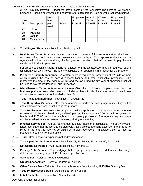36-42. **Property Payroll** - Budget the payroll costs by the respective line items for all property personnel. Include hours/week and hourly rate for each person. See payroll breakdown below:

|      |                 | No. of       |        | Employee Payroll |         | Workers   | Employee |
|------|-----------------|--------------|--------|------------------|---------|-----------|----------|
| Line |                 | <b>hours</b> |        | Apt              | Taxes   | Comp.     | Benefits |
|      | No. Description | <b>Loer</b>  | Salary | Line 39          | Line 41 | Line $42$ | Line 43  |
|      |                 | week         |        |                  |         |           |          |
| 27   | <b>Office</b>   |              |        |                  |         |           |          |
| 38   | Manager         |              |        |                  |         |           |          |
| 39   | Janitor         |              |        |                  |         |           |          |
| 40   | Maintenance     |              |        |                  |         |           |          |
|      |                 |              |        |                  |         |           |          |

- 43. **Total Payroll Expense** Total lines 36 through 42.
- 44. **Real Estate Taxes:** Provide a detailed calculation of taxes at full assessment after rehabilitation or construction. Include estimated assessment and millage. This represents the amount the Agency will bill and escrow during the first year of operations that will be used to pay the real estate tax bills due in year two.

For properties seeking Agency financing, a letter from the tax assessor may be required. Submit all current year tax invoices. Include any applicable tax abatement information for the property.

- 45. **Property & Liability Insurance** A written quote is required for properties of 12 units or more which includes the cost of hazard, general liability and other applicable premiums. This represents the amount the Agency will bill and escrow during the first year of operations that will be used to pay the insurance bill due in year two.
- 46. **Miscellaneous Taxes & Insurance Licenses/Permits** Additional property taxes, such as business privilege taxes, which are not included on line 44. Also include occupancy permit fees and additional insurance not included on line 45.
- 47. **Total Taxes and Insurance** Total lines 44 through 46.
- 48. **Total Supportive Services** Cost for an ongoing supportive services program, including staffing and contracted services, if included in the proposal.
- 49. **Total Replacement Reserve** For properties making application to the Agency the replacement reserve should be calculated using \$325.00 per unit for elderly, \$440.00 per unit for general or family, and \$200.00 per unit for single room occupancy proposals. The Agency may also make additional adjustments as deemed necessary during underwriting.
- 50. **Investor Service Fee** Annual fee charged by equity investor, if applicable. The equity investor letter must state that the fee is to be paid yearly as a project operating expense. If the fee is not listed in the letter, it may not be paid from project operations. In addition, the fee must be budgeted to be paid from operations.
- 51-52. **Other** Other operating expenses not addressed above.
- 53. **Total Operating Disbursements** Total lines 17, 23, 35, 43, 47, 48, 49, 50, 51 and 52.
- 54. **Net Operating Income (NOI)** Subtract line 53 from line 10.
- 55. **Primary Debt Service** The mortgage that the property can support is determined by using a debt service coverage ratio of 115% based upon line 54.
- 56. **Service Fee** Refer to Program Guidelines.
- 57. **Credit Enhancement** Refer to Program Guidelines.
- 58. **Other Service Fee** Reflects other allowable service fees, including HUD Risk Sharing Fee.
- 59. **Total Primary Debt Service** Add lines 55, 56, 57 and 58.
- 60. **Initial Cash Flow** Subtract line 59 from line 54.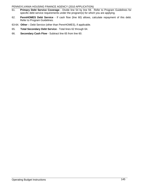- 61. **Primary Debt Service Coverage** Divide line 54 by line 59. Refer to Program Guidelines for specific debt service requirements under the program(s) for which you are applying.
- 62. **PennHOMES Debt Service** If cash flow (line 60) allows, calculate repayment of this debt. Refer to Program Guidelines.
- 63-64. Other Debt Service (other than PennHOMES), if applicable.
- 65. **Total Secondary Debt Service** Total lines 62 through 64.
- 66. **Secondary Cash Flow** Subtract line 65 from line 60.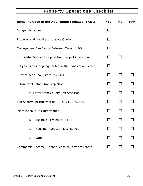# **Property Operations Checklist**

| Items Included in the Application Package (TAB 2)        | <u>Yes</u> | <u>No</u> | N/A    |
|----------------------------------------------------------|------------|-----------|--------|
| <b>Budget Narrative</b>                                  | $\Box$     |           |        |
| Property and Liability Insurance Quote                   | $\Box$     |           |        |
| Management Fee Factor Between 5% and 10%                 | $\Box$     |           |        |
| Is Investor Service Fee paid from Project Operations     | $\Box$     | $\Box$    |        |
| If yes, is this language noted in the Syndication Letter | $\Box$     |           |        |
| Current Year Real Estate Tax Bills                       | $\Box$     | $\Box$    | $\Box$ |
| Future Real Estate Tax Projection                        | $\Box$     | $\Box$    | $\Box$ |
| a. Letter from County Tax Assessor                       | $\Box$     | $\Box$    | $\Box$ |
| Tax Abatement Information (PILOT, LERTA, Etc.)           | $\Box$     | $\Box$    | $\Box$ |
| Miscellaneous Tax Information                            | $\Box$     | $\Box$    | $\Box$ |
| a. Business Priviledge Tax                               | $\Box$     | $\Box$    | $\Box$ |
| b. Housing Inspection License Fee                        | $\Box$     | $\Box$    | $\Box$ |
| c. Other                                                 | $\Box$     | $\Box$    | $\Box$ |
| Commercial Income: Tenant Lease or Letter of Intent      | $\Box$     | $\Box$    | $\Box$ |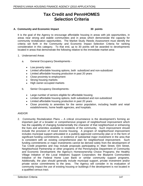# **Tax Credit and PennHOMES Selection Criteria**

#### **A. Community and Economic Impact 30 points**

It is the goal of the Agency to encourage affordable housing in areas with job opportunities, in areas near strong and stabile communities and in areas which demonstrate the capacity for community revitalization opportunities. The Market Study /Needs Assessment must identify the criteria set forth in the Community and Economic Impact Selection Criteria for ranking consideration in this category. To that end, up to 30 points will be awarded to developments located in areas that demonstrate the following relative to the immediate market area:

- 1. Underserved Areas
	- a. General Occupancy Developments
		- Low poverty rates **Lateral Executive Contract Contract Contract Contract Contract Contract Contract Contract Contract Contract Contract Contract Contract Contract Contract Contract Contract Contract Contract Contract Contr**
		- Limited affordable housing options, both subsidized and non-subsidized
		- Limited affordable housing production in past 20 years
		- Close proximity to employment
		- Strong housing markets **that is a strong strong and the strong strong strong strong strong strong strong strong strong strong strong strong strong strong strong strong strong strong strong strong strong strong strong stron**
		- High owner-occupied markets  $\bullet$
	- b. Senior Occupancy Developments-
		- Large number of seniors eligible for affordable housing
		- Limited affordable housing options, both subsidized and non-subsidized
		- Limited affordable housing production in past 20 years
		- Close proximity to amenities for the senior population, including health and retail establishments, home health agencies, and hospitals.

### AND/OR

2. Community Revitalization Plans - A critical circumstance is the development's forming an important part of a broader or comprehensive program of neighborhood improvement which has the capability of changing fundamentally the character of that neighborhood or enhancing the lives and amenities available to residents of the community. Such improvement should include the provision of mixed income housing. A program of neighborhood improvement includes municipal support articulated in a publicly approved community plan or in the form of significant funding commitments, or evidence of substantial major investment in the area that is consistent with an existing comprehensive plan for neighborhood improvement. Such funding commitments or major investments cannot be derived solely from the development of Tax Credit properties and may include proposals participating in: Main Street, Elm Street, Neighborhood Partnership or other programs of the Pennsylvania Department of Community and Economic Development; the Agency's Homeownership Choice Programs; the Healthy Village Initiative of the Local Initiatives Support Corporation; the Blueprint Communities Initiative of the Federal Home Loan Bank or similar community support programs. Additionally, the plan should generally include municipal support, private investment and/or private sector commitments to the area. The Agency will consider in its evaluation of community impact the use of existing housing or buildings if the development is not located in a qualified census tract.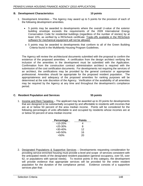#### **B. Development Characteristics 10 points**

- 1. Development Amenities The Agency may award up to 5 points for the provision of each of the following development amenities.
	- 5 points may be awarded to developments where the overall U-value of the exterior building envelope exceeds the requirements of the 2009 International Energy Conservation Code for residential buildings (regardless of the number of stories) by at least 10%, as verified by a REScheck certificate. Trade-offs available in the REScheck software for mechanical equipment will not be allowed.
	- 5 points may be awarded to developments that conform to all of the Green Building Criteria found in the Multifamily Housing Program Guidelines.

The Agency will review the architectural documents submitted with the proposal to confirm the existence of the proposed amenities. A certification from the design architect verifying the inclusion of the amenities in the development must be submitted with the Application. Confirmation from the construction contract administration architect is required with the submission of the cost certification documents. For developments not requiring the services of an architect, the certifications may be provided by the general contractor or appropriate professional. Amenities should be appropriate for the proposed resident population. The appropriateness and adequacy of the proposed amenities for ranking purposes will be determined at the sole discretion of the Agency. Verification of the availability of all amenities may be required by the Agency at any time and throughout the development's compliance period.

#### **C. Resident Population and Services 55 points**

1. Income and Rent Targeting  $-$  The applicant may be awarded up to 20 points for developments that are designed to be substantially occupied by and affordable to residents with incomes that are at or below 50 percent of the area median income. Points will be considered for the following percentages of units affordable to and occupied by residents whose incomes are at or below 50 percent of area median income:

| Percentage         | Points                                                                                                                                                                                                                                     |
|--------------------|--------------------------------------------------------------------------------------------------------------------------------------------------------------------------------------------------------------------------------------------|
| >10-20%            | <b><i>Contract Contract Artists Artists Artists Artists Artists Artists Artists Artists Artists Artists Artists Artists Artists Artists Artists Artists Artists Artists Artists Artists Artists Artists Artists Artists Artists Ar</i></b> |
| $>20-30%$          |                                                                                                                                                                                                                                            |
|                    |                                                                                                                                                                                                                                            |
| >30-40%<br>>40-50% | 16                                                                                                                                                                                                                                         |
| $>50\%$            | 20                                                                                                                                                                                                                                         |

2. Designated Populations & Supportive Services – Developments requesting consideration for providing service-enriched housing must provide a level and scope of services consistent with the anticipated needs of the designated resident population (general occupancy, over 55, over 62, or populations with special needs). To receive points in this category, the development will provide evidence that appropriate services will be provided for the entire resident population for the duration of the compliance period. Evidence consists of a supportive services plan that: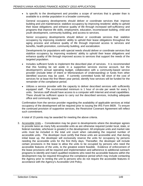Is specific to the development and provides a scope of services that is greater than is  $\bullet$ available to a similar population in a broader community.

General occupancy developments should deliver or coordinate services that: improve building and unit maintenance; stabilize occupancy by improving residents' ability to uphold their lease obligations; and enhance quality of life through increased self-sufficiency and programs that improve life skills, employment, education, income/asset building, child and youth development, community building, and access to services.

Senior occupancy developments should deliver or coordinate services that: stabilize occupancy by improving residents' ability to uphold their lease obligations throughout the aging process and enhance quality of life through improved access to services and benefits, health promotion, community building, and socialization.

Developments for populations with special needs should deliver or coordinate services that stabilize occupancy by improving residents' ability to uphold their lease obligations and enhance quality of life through improved access to services that support the needs of the targeted population.

- Includes sufficient funds to implement the described plan of services. It is recommended that this funding be set aside in a supportive services escrow account, but the development's annual operating budget, collaboration with a community-based service provider (include letter of intent or Memorandum of Understanding) or funds from other identified sources may be used. If currently committed funds fall short of the cost of services for at least the first fifteen year period, identify how services will be funded for the remainder of the compliance period.
- Utilizes a service provider with the capacity to deliver described services with sufficiently  $\bullet$ equipped staff. The recommended minimum is 1 hour of on-site per week for every 5 units. Services staff should have access to a computer with Internet and email capabilities. There should be sufficient space to carry out the described services, including adequate office and community space.

Confirmation from the service provider regarding the availability of applicable services at initial occupancy of the development will be required prior to issuing the IRS Form 8609. To ensure the continued provision of supportive services, the Restrictive Covenant Agreement will reflect such commitment.

A total of 15 points may be awarded for meeting the above criteria.

3. Accessible Units – Consideration may be given to developments where the developer agrees to provide twice as many fully accessible units as are otherwise required (under local, state, or federal mandate, whichever is greater) in the development. All employee units and market rate units must be included in the total unit count when calculating the required number of accessible units. The developer must certify that these units are accessible and, that during initial lease up, the developer will exclusively reserve the units for occupancy by persons needing the accessible units for the first thirty days. Thereafter, the developer will include certain provisions in the lease to allow the units to be occupied by persons who need the accessible features of the units, to the greatest extent feasible. Evidence of enforcement of the lease provisions will be required and implementation and adherence to additional outreach programs to identify and match qualified residents who need the accessible features within the development may be required throughout the compliance period which may include contacting the Agency prior to renting the unit to persons who do not require the accessible features in accordance with the Agency's Accessible Unit Policy.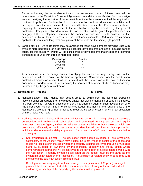Terms addressing the accessible units and the subsequent rental of these units will be incorporated in the Restrictive Covenant Agreement. In addition, a certification from the design architect verifying the inclusion of the accessible units in the development will be required at the time of application. Confirmation from the construction contract administration architect will be required with the submission of the cost certification documents. For developments not requiring the services of an architect, the certifications may be provided by the general contractor. For preservation developments, consideration will be given for points under this category if the development increases the number of accessible units available in the development by at least 5 percent of the total units available. (All other requirements applicable to rental and long term occupancy of these units are the same.) (10 points)

4. Large Families – Up to 10 points may be awarded for those developments providing units with three or more bedrooms for large families. High rise developments and senior housing cannot qualify for this category. Points will be considered for developments that include the following percentages of units with three or more bedrooms:

| Percentage | <b>Points</b> |  |
|------------|---------------|--|
| >15-20%    |               |  |
| $>20-25%$  |               |  |
| >25%       |               |  |

A certification from the design architect verifying the number of large family units in the development will be required at the time of application. Confirmation from the construction contract administration architect will be required with the submission of the cost certification documents. For developments not requiring the services of an architect, the certifications may be provided by the general contractor.

#### **D. Development Process 40 points**

- 1. Noncompliance The Agency may deduct up to 10 points from the score for proposals involving either an applicant (or any related entity) that owns a managing or controlling interest in a Pennsylvania Tax Credit development or a management agent of such development who has unresolved IRS Form 8823 noncompliance issues, has not met the requirements of the Restrictive Covenant Agreement or failed to meet the selection criteria for which an allocation of Tax Credits was made.
- 2. Ability to Proceed Points will be awarded for site ownership, zoning, site plan approval, construction and architectural submissions and committed funding sources and equity investment. As the Agency strives to make resources available to those projects which can quickly and effectively utilize its resources, consideration will be given to those properties which can demonstrate the ability to proceed. A total amount of 40 points may be awarded in this category. The contract of the contract of the contract of the contract of the contract of the contract of the contract of the contract of the contract of the contract of the contract of the contract of the contract of
	- Site ownership (5 points)  $-$  The developer must submit evidence of site ownership,  $\bullet$ satisfactory to the Agency (which may include but is not limited to copies of the deeds and recording receipts or in the case where the property is being conveyed through a municipal authority, evidence of ownership by the municipal authority and official action which demonstrates that property will be conveyed to the developer) of all real estate parcels with the Application. Property ownership (as listed on the deeds) must be the same as the ownership entity listed on the Application. (A subsidiary or related entity to be formed with the same principals may satisfy this standard.)

Developments utilizing long-term lease arrangements (minimum of 35 years) are eligible, provided the lease is executed at the time of application. A copy of the recorded deed evidencing ownership of the property by the lessor must be provided.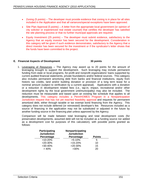- Zoning (5 points) The developer must provide evidence that zoning is in place for all sites  $\bullet$ included in the Application and that all variances/special exceptions have been approved.
- Site Plan Approval (5 points)  $-$  A letter from the appropriate local government (or opinion of  $\bullet$ city solicitor or experienced real estate counsel) that certifies the developer has satisfied the site planning process or that no further municipal approvals are required.
- **Equity Investment (25 points)** The developer must submit evidence, satisfactory to the Agency that an equity investor has been secured for the development. Consideration in this category will be given if such evidence demonstrates, satisfactory to the Agency that a direct investor has been secured for the investment or if the syndicator's letter shows that the funds have been committed to the project.

#### **E. Financial Aspects of Development 30 points**

1. Leveraging of Resources  $-$  The Agency may award up to 20 points for the amount of leveraging brought to support the development. Such leveraging may include permanent funding from state or local programs, for-profit and nonprofit organizations' loans supported by current audited financial statements, private foundations and/or federal sources. This category also includes permanent amortizing debt from banks and financial institutions, equity from historic tax credits, land and/or building donation or provision of a long term lease for a nominal amount (subject to verification by a current appraisal). Applications with a donation or a reduction in development related fees (i.e., tap-in, impact, recreational and/or other development rights by the local government unit/municipality) may also be included. The reduction must be measurable and based upon an existing fee schedule that applies to all developments. This category includes a PennHOMES Program in a Nonparticipation Jurisdiction request that has not yet reached feasibility approval and requests for permanent amortized debt, either through taxable or tax exempt bond financing from the Agency. This category does not include deferred (or reinvested) developer's fee. Resources included as a source of financing in the application may not be substituted or adjusted in the future by another funding source in the financing plan unless approved by the Agency.

Comparison will be made between total leveraging and total development costs (for preservation developments, assumed debt will not be included as a funding source nor added as a development cost for purposes of this calculation), with possible points granted as follows:

| Participating       | Nonparticipating      |               |
|---------------------|-----------------------|---------------|
| <b>Jurisdiction</b> | <b>Jurisdiction</b>   |               |
| Percentage          | Percentage            | <b>Points</b> |
| $>10-20%$           | >5-10%                |               |
| $>20-30%$           | $>15-20%$             |               |
| $>30-40%$           | $>20-30%$             |               |
| > 40%               | 0.001<br><b>20076</b> | ∠∪            |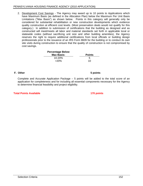2. Development Cost Savings - The Agency may award up to 10 points to Applications which have Maximum Basis (as defined in the Allocation Plan) below the Maximum Per Unit Basis Limitations ("Max Basis") as shown below. Points in this category will generally only be considered for substantial rehabilitation or new construction developments which evidence quality construction at efficient cost levels. (Most preservation deals would not qualify for this category.) In addition to submission of certifications that the building as designed and as constructed will meet/meets all labor and material standards set forth in applicable local or statewide codes (without sacrificing unit size and other building amenities), the Agency reserves the right to require additional certifications from local officials or building design professionals prior to the issuance of an IRS Form 8609 for the building or to conduct its own site visits during construction to ensure that the quality of construction is not compromised by cost savings.

| <b>Percentage Below</b>             |               |
|-------------------------------------|---------------|
|                                     | <b>Points</b> |
| <u>Max Basis:</u><br>10-20%<br>>20% |               |
|                                     |               |

#### **F. Other 5 points**

Complete and Accurate Application Package  $-5$  points will be added to the total score of an application for completeness and for including all essential components necessary for the Agency to determine financial feasibility and project eligibility.

#### **Total Points Available 170 points**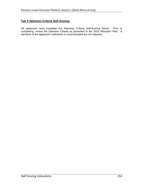### **Tab 3 Selection Criteria Self-Scoring**

All applicants must complete the Selection Criteria Self-Scoring Sheet. Prior to completing, review the Selection Criteria as presented in the 2010 Allocation Plan. A narrative of the applicant's selections is recommended but not required.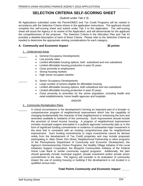# **SELECTION CRITERIA SELF-SCORING SHEET**

#### (Submit under Tab # 3)

All Applications submitted under the PennHOMES and Tax Credit Programs will be ranked in accordance with the Selection Criteria shown in the application instructions. The applicant should complete this self-scoring sheet and submit under Tab 3 to the Application. The self-scoring sheet will assist the Agency in its review of the Application, and will demonstrate for the applicant the competitiveness of the proposal. The Selection Criteria in the Allocation Plan and Tab #3 provides a detailed description of each of these Criteria. Please refer to the Selection Criteria as needed to determine the appropriate ranking considerations for each category.

#### **A. Community and Economic Impact 30 points**

#### 1. Underserved Areas

- a. General Occupancy Developments
	- Low poverty rates **Example 20** and 20 and 20 and 20 and 20 and 20 and 20 and 20 and 20 and 20 and 20 and 20 and 20 and 20 and 20 and 20 and 20 and 20 and 20 and 20 and 20 and 20 and 20 and 20 and 20 and 20 and 20 and 20 an
	- Limited affordable housing options, both subsidized and non-subsidized
	- Limited affordable housing production in past 20 years
	- Close proximity to employment
	- Strong housing markets **Exercise 2008** Strong housing markets
	- High owner-occupied markets
	- b. Senior Occupancy Developments
	- Large number of seniors eligible for affordable housing
	- Limited affordable housing options, both subsidized and non-subsidized
	- Limited affordable housing production in past 20 years
	- Close proximity to amenities for the senior population, including health and retail establishments, home health agencies and hospitals

AND/OR

#### 2. Community Revitalization Plans

A critical circumstance is the development's forming an important part of a broader or comprehensive program of neighborhood improvement which has the capability of changing fundamentally the character of that neighborhood or enhancing the lives and amenities available to residents of the community. Such improvement should include the provision of mixed income housing. A program of neighborhood improvement includes municipal support articulated in a publicly approved community plan or in the form of significant funding commitments or evidence of substantial major investment in the area that is consistent with an existing comprehensive plan for neighborhood improvement. Such funding commitments or major investments cannot be derived solely from the development of Tax Credit properties and may include proposals participating in: Main Street, Elm Street, Neighborhood Partnership or other programs of the Pennsylvania Department of Community and Economic Development; the Agency's Homeownership Choice Programs; the Healthy Village Initiative of the Local Initiatives Support Corporation; the Blueprint Communities Initiative of the Federal Home Loan Bank or similar community support programs. Additionally, the plan should generally include municipal support, private investment and/or private sector commitments to the area. The Agency will consider in its evaluation of community impact the use of existing housing or building if the development is not located in a qualified census tract.

#### **Total Points Community and Economic Impact \_\_\_\_\_**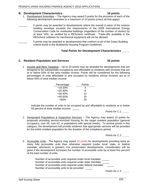#### **B. Development Characteristics 10 points**

- 1. Development Amenities The Agency may award 5 points for the provision of each of the following development amenities to a maximum of 10 points (check all that apply):
	- \_\_\_\_\_\_ 5 points may be awarded to developments where the overall U-value of the exterior building envelope exceeds the requirements of the 2009 International Energy Conservation Code for residential buildings (regardless of the number of stories) by at least 10%, as verified by a REScheck certificate. Trade-offs available in the REScheck software for mechanical equipment will not be allowed.

\_\_\_\_\_\_ 5 points may be awarded to developments that conform to all of the Green Building criteria found in the Multifamily Housing Program Guidelines.

#### **Total Points for Development Characteristics \_\_\_\_\_**

1. Income and Rent Targeting  $-$  Up to 20 points may be awarded for developments that are designed to be substantially occupied by and affordable to residents with incomes that are at or below 50% of the area median income. Points will be considered for the following percentages of units affordable to and occupied by residents whose incomes are at or below 50% of area median income: **C. Resident Population and Services**<br>
1. **Income and Rent Tangething** – Up to 20 points may be awarded for developments that are<br>
designed to be substantially occupied by and affordable to residents with incomes that are

| $\frac{\text{Percentage}}{\text{>10-20\%}}$ | Points         |
|---------------------------------------------|----------------|
|                                             |                |
|                                             |                |
|                                             |                |
| $>20-30\%$<br>$>30-40\%$<br>$>40-50\%$      | $\overline{A}$ |
| $>50\%$                                     | 20             |

Indicate the number of units to be occupied by and affordable to residents at or below 50 percent of area median income: \_\_\_\_\_

Points for C.1. \_\_\_\_\_\_

2. Designated Populations & Supportive Services – The Agency may award 15 points for proposals providing service-enriched housing for the target resident population (general occupancy, over 55, over 62, or populations with special needs). To receive points in this category, the development will provide evidence that appropriate services will be provided for the entire resident population for the duration of the compliance period.

Points for C.2. \_\_\_\_\_\_

3. Accessible Units - The Agency may award 10 points for developments providing twice as many fully accessible units than otherwise required (under local, state, or federal mandate, whichever is greater). For preservation developments, consideration will be given if the development increases the number of accessible units by at least five percent of the total number of units.<br>Number of accessible units required under local mandate: \_\_\_\_\_\_

Number of accessible units required under state mandate: \_\_\_\_\_ Number of accessible units required under federal mandate: Number of accessible units to be provided: \_\_\_\_\_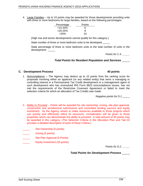4. Large Families – Up to 10 points may be awarded for those developments providing units with three or more bedrooms for large families, based on the following percentages:

|                                             | Points |  |
|---------------------------------------------|--------|--|
| $\frac{\text{Percentage}}{\text{>15-20\%}}$ |        |  |
| $>20-25%$                                   |        |  |
| >25%                                        |        |  |

(High rise and senior developments cannot qualify for this category.)

State number of three or more bedroom units to be developed:\_\_\_\_\_

State percentage of three or more bedroom units to the total number of units in the development: \_\_\_\_\_

Points for C.4. \_\_\_\_\_\_

### **Total Points for Resident Population and Services** \_\_\_\_\_

1. Noncompliance – The Agency may deduct up to 10 points from the ranking score for proposals involving either an applicant (or any related entity) that owns a managing or controlling interest in a Pennsylvania Tax Credit development or a management agent of such development who has unresolved IRS Form 8823 noncompliance issues, has not met the requirements of the Restrictive Covenant Agreement or failed to meet the selection criteria for which an allocation of Tax Credits was made.

Negative points for D.1.

- 2. Ability to Proceed Points will be awarded for site ownership, zoning, site plan approval, construction and architectural submissions and committed funding sources and equity investment. As the Agency strives to make resources available to those projects which can quickly and effectively utilize its resources, consideration will be given to those properties which can demonstrate the ability to proceed. A total amount of 40 points may be awarded in this category. (The Selection Criteria in the Allocation Plan and Tab #3 provides a detailed description of each of these Criteria.) **C. Development Process**<br>
1. <u>Noncomplisine</u> – The Agency may deduct up to 10 points from the ranking score for<br>
proposals involving either an applicant (or any related entity) that towns a managing or<br>
controlling interes
	- \_\_\_\_\_ Site Ownership (5 points)
	- \_\_\_\_\_ Zoning (5 points)
	- Site Plan Approval (5 Points)
	- Equity Investment (25 points)

Points for D.2. \_\_\_\_\_\_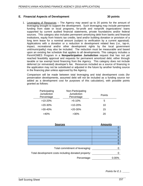#### **E. Financial Aspects of Development 30 points**

1. Leveraging of Resources – The Agency may award up to 20 points for the amount of leveraging brought to support the development. Such leveraging may include permanent funding from state or local programs, for-profit and nonprofit organizations' loans supported by current audited financial statements, private foundations and/or federal sources. This category also includes permanent amortizing debt from banks and financial institutions, equity from historic tax credits, land and/or building donation or provision of a long term lease for a nominal amount (subject to verification by a current appraisal). Applications with a donation or a reduction in development related fees (i.e., tap-in, impact, recreational and/or other development rights by the local government unit/municipality) may also be included. The reduction must be measurable and based upon an existing fee schedule that applies to all developments. This category includes a PennHOMES Program in a **Nonparticipation Jurisdiction** request that has not yet reached feasibility approval and requests for permanent amortized debt, either through taxable or tax exempt bond financing from the Agency. This category does not include deferred (or reinvested) developer's fee. Resources included as a source of financing in the application may not be substituted or adjusted in the future by another funding source in the financing plan unless approved by the Agency.

Comparison will be made between total leveraging and total development costs (for preservation developments, assumed debt will not be included as a funding source nor added as a development cost for purposes of this calculation), with possible points granted as follows:

| Participating<br>Jurisdiction<br>Percentage | Non-Participating<br>Jurisdiction<br>Percentage | Points |
|---------------------------------------------|-------------------------------------------------|--------|
| $>10-20%$                                   | $>5-10\%$                                       |        |
| $>20-30%$                                   | $>10-20%$                                       |        |
| $>30-40\%$                                  | $>20-30%$                                       |        |
| >40%                                        | $>30\%$                                         | $\sim$ |

| <b>Sources</b>                                        | Amount <sup>®</sup> |
|-------------------------------------------------------|---------------------|
|                                                       |                     |
|                                                       |                     |
|                                                       |                     |
|                                                       |                     |
|                                                       |                     |
|                                                       |                     |
| Total commitment of leveraging: _                     |                     |
|                                                       |                     |
| Total development costs including donated property: _ |                     |
| Percentage:                                           | $0.00\%$            |

Points for E.1.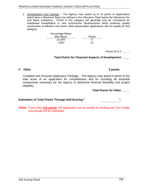2. Development Cost Savings – The Agency may award up to 10 points to Applications which have a Maximum Basis (as defined in the Allocation Plan) below the Maximum Per Unit Basis Limitations. Points in this category will generally only be considered for substantial rehabilitation or new construction developments which evidence quality construction at efficient cost levels. Most preservation applications will not qualify for this category.

> Percentage Below Max Basis: **Example 2018** Points **Points** 10-20% 5  $>20\%$  10

> > Points for E.2. \_\_\_\_\_\_

**Total Points for Financial Aspects of Development \_\_\_\_\_**

**F. Other 5 points**

Complete and Accurate Application Package – The Agency may award 5 points to the total score of an application for completeness and for including all essential components necessary for the Agency to determine financial feasibility and project eligibility.

**Total Points for Other \_\_\_\_\_**

### **Estimation of Total Points Through Self-Scoring \* \***

**\*Note:** If less than **115 points**, the application will not qualify for funding and Tax Credits and should not be submitted.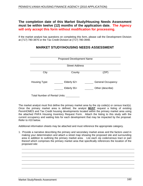## **The completion date of this Market Study/Housing Needs Assessment must be within twelve (12) months of the application date. The Agency will only accept this form without modification for processing.**

If the market analyst has questions on completing this form, please call the Development Division at (717) 780-3876 or the Tax Credit Division at (717) 780-3948.

|                                      | <b>Proposed Development Name</b>                 |                                                                               |
|--------------------------------------|--------------------------------------------------|-------------------------------------------------------------------------------|
|                                      | <b>Street Address</b>                            |                                                                               |
| City                                 | County                                           | (ZIP)                                                                         |
| Housing Type:                        | Elderly 62+                                      | <b>General Occupancy</b><br><b>Contract Contract Contract</b>                 |
|                                      | Elderly 55+<br><b>Contract Contract Contract</b> | Other (describe)<br>$\mathcal{L}_{\text{max}}$ and $\mathcal{L}_{\text{max}}$ |
| <b>Total Number of Rental Units:</b> |                                                  |                                                                               |

# **MARKET STUDY/HOUSING NEEDS ASSESSMENT**

The market analyst must first define the primary market area by the zip code(s) or census tract(s). Once the primary market area is defined, the analyst **MUST** request a listing of existing PennHOMES and Tax Credit housing developments located within the primary market area using the attached PHFA Housing Inventory Request Form. Attach the listing to this studywith the current occupancy and waiting lists for each development that maybe impacted by the proposal. Refer to #10 below.

Additional information sheets may be attached and must reference the appropriate category.

1. Provide a narrative describing the primary and secondary market areas and the factors used in making your determination and attach a street map showing the proposed site and surrounding area in addition to outlining the primary market area. List each zip code/census tract or part thereof which comprises the primary market area that specifically references the location of the proposed site:

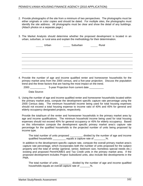- 2. Provide photographs of the site from a minimum of two perspectives. The photographs must be either originals or color copies and should be dated. For multiple sites, the photographs must identify the site address. All photographs must be clear and show the detail of any buildings. (Attach photos on a separate page.)
- 3. The Market Analysts should determine whether the proposed development is located in an urban, suburban, or rural area and explain the methodology for their determination.

| Rural<br>Urban<br>Suburban<br>$\overline{\phantom{a}}$<br>$\sim$ $\sim$ $\sim$ $\sim$ $\sim$ $\sim$ $\sim$<br>the contract of the contract of |  |
|-----------------------------------------------------------------------------------------------------------------------------------------------|--|
|                                                                                                                                               |  |
|                                                                                                                                               |  |
|                                                                                                                                               |  |
|                                                                                                                                               |  |
|                                                                                                                                               |  |
|                                                                                                                                               |  |

4. Provide the number of age and income qualified renter and homeowner households for the primary market area from the 2000 census, and a five-year projection. Discuss the population trend and the three factors that are having the most impact on the trend.

| 2000<br>ear Projection from current date<br>ว-year |
|----------------------------------------------------|
|----------------------------------------------------|

Data Source:

5. Using the number of age and income qualified renter and homeowner households located within the primary market area, compute the development specific capture rate percentage using the 2000 Census data. The minimum household income being used for total housing expenses should not exceed a total housing expense to income ratio of 40% and 45% for general and elderly occupancy designated projects, respectively.

Provide the total/sum of the renter and homeowner households in the primary market area by age and income qualifications. The minimum household income being used for total housing expenses should not exceed 40% for general occupancy or 45% for elderly occupancy. Based on this information compute the development specific primary market area's capture rate percentage for the qualified households to the projected number of units being proposed by income type.

The total number of units proposed divided by the number of age and income qualified households \_\_\_\_\_\_\_\_\_ equals a capture rate of \_\_\_\_\_\_\_%.

In addition to the development specific capture rate, compute the overall primary market area's capture rate percentage, which incorporates both the number of units proposed for the subject property and the total of similar (general, senior, bedroom size, homeless special needs etc.) existing and proposed PennHOMES and Tax Credit units in the primary market area. If the proposed development includes Project Subsidized units, also include like developments in the PMA.

The total number of units \_\_\_\_\_\_\_\_\_ divided by the number of age and income qualified households equals an overall capture rate of \_\_\_\_\_\_\_%.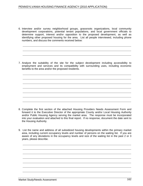6. Interview and/or survey neighborhood groups, grassroots organizations, local community development corporations, potential tenant populations, and local government officials to determine support, interest and/or opposition to the proposed development, as well as identifying other proposed housing for the area. List all people interviewed, including phone numbers, and discuss the comments received below:

7. Analyze the suitability of the site for the subject development including accessibility to employment and services and its compatibility with surrounding uses, including economic benefits to the area and/or the proposed residents.

- 8. Complete the first section of the attached Housing Providers Needs Assessment Form and forward it to the Executive Director of the appropriate County and/or Local Housing Authority and/or Public Housing Agency serving the market area. The response must be incorporated into your evaluation and attached to this final report. If no response, document the date sent to the Housing Authority.
- 9. List the name and address of all subsidized housing developments within the primary market area, including current occupancy levels and number of persons on the waiting list. If you are aware of any deviations in the occupancy levels and size of the waiting list in the past 2 or 3 years, please describe.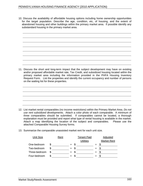- 10. Discuss the availability of affordable housing options including home ownership opportunities for the target population. Describe the age, condition, etc, of housing, and the extent of abandoned housing and other buildings within the primary market area. If possible identify any substandard housing in the primary market area.
	-
- 11. Discuss the short and long-term impact that the subject development may have on existing and/or proposed affordable market rate, Tax Credit, and subsidized housing located within the primary market area including the information provided in the PHFA Housing Inventory Request Form. List the properties and identify the current occupancy and number of persons on the waiting list for these properties.

- 12. List market rental comparables (no income restrictions) within the Primary Market Area. Do not use rent subsidized developments. Attach a color photo of each comparable. A minimum of three comparables should be submitted. If comparables cannot be located, a thorough explanation must be provided and report what type of rental housing is available in the market. Attach a map identifying the location of the subject and comparables. Please use the attached Comparable Housing Survey forms.
- 13. Summarize the comparable unassisted market rent for each unit size.

| <b>Unit Size</b> | <u>Ren</u> | <b>Fenant Paid</b> | <u>Adjustea</u>    |
|------------------|------------|--------------------|--------------------|
|                  |            | 114114100          | <b>Market Rent</b> |
| One-bedroom      |            |                    |                    |
| Two-bedroom      |            |                    |                    |
| Three-bedroom    |            |                    |                    |
| Four-bedroom     |            |                    |                    |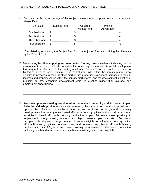14. Compute the Pricing Advantage of the subject development's proposed rents to the Adjusted Market Rent.

| Unit Size     | subject Rent | diucto<br><b>Market Rent</b> | Advantage* |  |
|---------------|--------------|------------------------------|------------|--|
| One-bedroom   |              |                              |            |  |
| Two-bedroom   |              |                              |            |  |
| Three-bedroom |              |                              |            |  |
| Four-bedroom  |              |                              |            |  |

\*Calculated by subtracting the Subject Rent from the Adjusted Rent and dividing the difference by the Subject Rent.

- 15. **For existing facilities applying for preservation funding** provide evidence indicating that the development is or is not a likely candidate for converting to a market rate rental development that may not be affordable to the existing residents. Factors to consider include, but are not limited to, demand for or waiting list of market rate units within the primary market area, significant increases in rents at other market rate properties, significant increases in median incomes and property values within the primary market area, and the development's location or proximity to new economic development which is creating higher than average new employment opportunities.
- 16. **For developments seeking consideration under the Community and Economic Impact Selection Criteria** provide evidence demonstrating the capacity for community revitalization opportunities. Factors to consider include, but are not limited to, for general occupancy developments: low poverty rates, limited affordable housing options, both subsidized and non subsidized, limited affordable housing production in past 20 years, close proximity to employment, strong housing markets, and high owner-occupied markets. For senior occupancy developments: large number of seniors eligible for affordable housing, limited affordable housing options, both subsidized and non-subsidized, limited affordable housing production in past 20 years, and close proximity to amenities for the senior population, including health and retail establishments, home health agencies, and hospitals.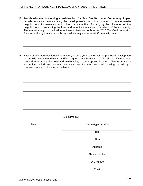17. **For developments seeking consideration for Tax Credits under Community Impact** provide evidence demonstrating the development's part of a broader or comprehensive neighborhood improvement which has the capability of changing the character of that neighborhood or enhancing the lives and amenities available to residents of the community. The market analyst should address those criteria set forth in the 2010 Tax Credit Allocation Plan for further guidance on such items which may demonstrate Community Impact.

18. Based on the aforementioned information, discuss your support for the proposed development or provide recommendations and/or suggest modifications. This should include your conclusion regarding the need and marketability of the proposed housing. Also, estimate the absorption period and ongoing vacancy rate for the proposed housing based upon comparables and/or housing experience.

Submitted by: **Example 20** Submitted by:

Date **Name** (type or print) **Name** (type or print)

**Title The Community of the Community of the Community of the Community of the Community of the Community of the Community of the Community of the Community of the Community of the Community of the Community of the Commu** 

Firm

Address

Phone Number

FAX Number

Email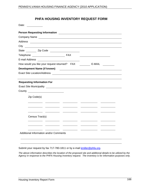# **PHFA HOUSING INVENTORY REQUEST FORM**

Submit your request by fax 717-780-1811 or by e-mail kmiller@phfa.org.

The above information describes the location of the proposed site and additional details to be utilized by the Agency in response to the PHFA Housing Inventory request. The inventory is for information purposes only.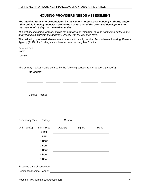# **HOUSING PROVIDERS NEEDS ASSESSMENT**

**The attached form is to be completed by the County and/or Local Housing Authority and/or other public housing agencies serving the market area of the proposed development and returned within 5 days to the market analyst.**

The first section of the form describing the proposed development is to be completed by the market analyst and submitted to the housing authority with the attached form.

The following proposed development intends to apply to the Pennsylvania Housing Finance Agency (PHFA) for funding and/or Low Income Housing Tax Credits.

| Development<br>Name: |  |
|----------------------|--|
| Location:            |  |
|                      |  |

The primary market area is defined by the following census tract(s) and/or zip code(s).

| Zip Code(s)                                                                             |                                                                                                                                                                                                                                                                                                                                |                                                                                                                        |  |  |  |  |
|-----------------------------------------------------------------------------------------|--------------------------------------------------------------------------------------------------------------------------------------------------------------------------------------------------------------------------------------------------------------------------------------------------------------------------------|------------------------------------------------------------------------------------------------------------------------|--|--|--|--|
|                                                                                         | $\overline{\phantom{a}}$<br><u> The Communication of the Communication of the Communication of the Communication of the Communication of the Communication of the Communication of the Communication of the Communication of the Communication of the Commun</u>                                                               | the contract of the contract of the contract of the contract of the contract of                                        |  |  |  |  |
|                                                                                         | $\sim$ $\sim$ $\sim$ $\sim$ $\sim$ $\sim$ $\sim$ $\sim$<br>and the control of the con-                                                                                                                                                                                                                                         |                                                                                                                        |  |  |  |  |
|                                                                                         | the contract of the contract of the contract of                                                                                                                                                                                                                                                                                |                                                                                                                        |  |  |  |  |
| <b>Contract Contract Contract</b>                                                       | and the state of the state of the<br><u> The Common State of the Common State of the Common State of the Common State of the Common State of the Common State of the Common State of the Common State of the Common State of the Common State of the Common State of </u><br><u> The Communication of the Communication of</u> |                                                                                                                        |  |  |  |  |
| Census Tract(s)                                                                         |                                                                                                                                                                                                                                                                                                                                |                                                                                                                        |  |  |  |  |
| ____<br>the contract of the contract of the contract of the contract of the contract of |                                                                                                                                                                                                                                                                                                                                | and the contract of the contract of the contract of the contract of the contract of                                    |  |  |  |  |
|                                                                                         |                                                                                                                                                                                                                                                                                                                                |                                                                                                                        |  |  |  |  |
|                                                                                         | $\sim$ $\sim$<br>$\overline{\phantom{a}}$                                                                                                                                                                                                                                                                                      |                                                                                                                        |  |  |  |  |
|                                                                                         | and the state of the state of<br><u> The Common State of the Common State of the Common State of the Common State of the Common State of the Common</u>                                                                                                                                                                        |                                                                                                                        |  |  |  |  |
|                                                                                         |                                                                                                                                                                                                                                                                                                                                |                                                                                                                        |  |  |  |  |
| Occupancy Type: Elderly                                                                 | General<br>$\frac{1}{2}$                                                                                                                                                                                                                                                                                                       |                                                                                                                        |  |  |  |  |
|                                                                                         |                                                                                                                                                                                                                                                                                                                                |                                                                                                                        |  |  |  |  |
|                                                                                         |                                                                                                                                                                                                                                                                                                                                |                                                                                                                        |  |  |  |  |
| Unit Type(s):<br><b>Bdrm Type</b>                                                       | Sq. Ft.<br>Quantity                                                                                                                                                                                                                                                                                                            | Rent                                                                                                                   |  |  |  |  |
| SRO                                                                                     |                                                                                                                                                                                                                                                                                                                                |                                                                                                                        |  |  |  |  |
| EFF                                                                                     |                                                                                                                                                                                                                                                                                                                                |                                                                                                                        |  |  |  |  |
| 1 Bdrm                                                                                  |                                                                                                                                                                                                                                                                                                                                |                                                                                                                        |  |  |  |  |
| 2 Bdrm                                                                                  |                                                                                                                                                                                                                                                                                                                                |                                                                                                                        |  |  |  |  |
| 3 Bdrm                                                                                  |                                                                                                                                                                                                                                                                                                                                | the contract of the contract of the contract of                                                                        |  |  |  |  |
| 4 Bdrm                                                                                  |                                                                                                                                                                                                                                                                                                                                |                                                                                                                        |  |  |  |  |
| 5 Bdrm                                                                                  |                                                                                                                                                                                                                                                                                                                                | $\overline{\phantom{a}}$                                                                                               |  |  |  |  |
| Expected date of completion:                                                            |                                                                                                                                                                                                                                                                                                                                | <u> 1989 - Johann Barn, mars ann an t-Amhain Aonaich an t-Aonaich an t-Aonaich ann an t-Aonaich ann an t-Aonaich</u>   |  |  |  |  |
| Resident's Income Range:                                                                |                                                                                                                                                                                                                                                                                                                                | <u> 1989 - Johann Stoff, deutscher Stoffen und der Stoffen und der Stoffen und der Stoffen und der Stoffen und der</u> |  |  |  |  |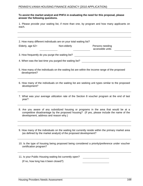#### **To assist the market analyst and PHFA in evaluating the need for this proposal, please answer the following questions.**

1. Please provide your waiting list, if more than one, by program and how many applicants on each. **Each** and the contract of the contract of the contract of the contract of the contract of the contract of the contract of the contract of the contract of the contract of the contract of the contract of the contract

|                                                  | 2. How many different individuals are on your total waiting list? |                                                                                                                                                                                    |
|--------------------------------------------------|-------------------------------------------------------------------|------------------------------------------------------------------------------------------------------------------------------------------------------------------------------------|
| Elderly, age 62+                                 | Non-elderly                                                       | Persons needing<br>accessible units                                                                                                                                                |
| 3. How frequently do you purge the waiting list? |                                                                   |                                                                                                                                                                                    |
|                                                  | 4. When was the last time you purged the waiting list?            |                                                                                                                                                                                    |
| development?                                     |                                                                   | 5. How many of the individuals on the waiting list are within the income range of the proposed                                                                                     |
| development?                                     |                                                                   | 6. How many of the individuals on the waiting list are seeking unit types similar to the proposed                                                                                  |
| year?                                            |                                                                   | 7. What was your average utilization rate of the Section 8 voucher program at the end of last                                                                                      |
| development, address and reason why.)            |                                                                   | 8. Are you aware of any subsidized housing or programs in the area that would be at a<br>competitive disadvantage by the proposed housing? (If yes, please include the name of the |
|                                                  | (as defined by the market analyst) of the proposed development?   | 9. How many of the individuals on the waiting list currently reside within the primary market area                                                                                 |
|                                                  |                                                                   | 10. Is the type of housing being proposed being considered a priority/preference under voucher certification program?                                                              |
|                                                  | 11. Is your Public Housing waiting list currently open?           |                                                                                                                                                                                    |

(If no, how long has it been closed?)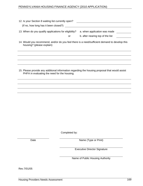| 12. Is your Section 8 waiting list currently open?<br><u> 1989 - Johann Harry Harry Harry Harry Harry Harry Harry Harry Harry Harry Harry Harry Harry Harry Harry Harry</u><br>(If no, how long has it been closed?)                                       |  |  |
|------------------------------------------------------------------------------------------------------------------------------------------------------------------------------------------------------------------------------------------------------------|--|--|
| 13. When do you qualify applications for eligibility?<br>a. when application was made<br><u> Territoria de la provincia de la provincia de la provincia de la provincia de la provincia de la provincia de l</u><br>b. after nearing top of the list<br>or |  |  |
| 14. Would you recommend, and/or do you feel there is a need/sufficient demand to develop this<br>housing? (please explain)                                                                                                                                 |  |  |
| 15. Please provide any additional information regarding the housing proposal that would assist<br>PHFA in evaluating the need for the housing.                                                                                                             |  |  |
|                                                                                                                                                                                                                                                            |  |  |

Completed by:

Date **Name** (Type or Print) **Name** (Type or Print)

Executive Director Signature

Name of Public Housing Authority

Rev.7/01/05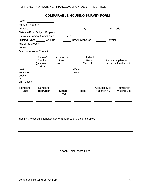# **COMPARABLE HOUSING SURVEY FORM**

| Date:              |                                    |                               |                                                                                                                      |                             |                                                  |
|--------------------|------------------------------------|-------------------------------|----------------------------------------------------------------------------------------------------------------------|-----------------------------|--------------------------------------------------|
|                    | Name of Property: __________       |                               |                                                                                                                      |                             |                                                  |
| Address:           |                                    |                               | City:                                                                                                                |                             | Zip Code:                                        |
|                    | Distance From Subject Property:    |                               |                                                                                                                      |                             |                                                  |
|                    | Is it within Primary Market Area:  | Yes                           | No                                                                                                                   |                             |                                                  |
|                    | Building Type: Walk-up             |                               | Row/Townhouse                                                                                                        | Elevator                    |                                                  |
|                    |                                    |                               |                                                                                                                      |                             |                                                  |
| Contact:           |                                    |                               |                                                                                                                      |                             |                                                  |
|                    | Telephone No. of Contact:          |                               | <u> 1989 - Andrea Santa Alemania, amerikana amerikana amerikana amerikana amerikana amerikana amerikana amerikan</u> |                             |                                                  |
|                    |                                    |                               |                                                                                                                      |                             |                                                  |
|                    | Type of<br>Service<br>(gas, elec., | Included in<br>Rent<br>Yes No | Included in<br>Rent<br>Yes No                                                                                        |                             | List the appliances<br>provided within the unit: |
|                    | etc.)                              |                               |                                                                                                                      |                             |                                                  |
| Heat<br>Hot water  |                                    |                               | Water<br>Sewer                                                                                                       |                             |                                                  |
| Cooking            |                                    |                               |                                                                                                                      |                             |                                                  |
| A/C                |                                    |                               |                                                                                                                      |                             |                                                  |
| Unit lighting      |                                    |                               |                                                                                                                      |                             |                                                  |
| Number of<br>Units | Number of<br>Bdrm/Bath             | Square                        | Rent                                                                                                                 | Occupancy or<br>Vacancy (%) | Number on<br><b>Waiting List</b>                 |
|                    |                                    | Feet                          |                                                                                                                      |                             |                                                  |
|                    |                                    |                               |                                                                                                                      |                             |                                                  |
|                    |                                    |                               |                                                                                                                      |                             |                                                  |
|                    |                                    |                               |                                                                                                                      |                             |                                                  |
|                    |                                    |                               |                                                                                                                      |                             |                                                  |
|                    |                                    |                               |                                                                                                                      |                             |                                                  |

Identify any special characteristics or amenities of the comparables:

Attach Color Photo Here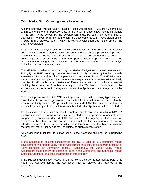#### **Tab 4 Market Study/Housing Needs Assessment**

A comprehensive Market Study/Housing Needs Assessment ("MS/HNA"), completed within 12 months of the Application date, of the housing needs of low-income individuals in the area to be served by the development must be submitted at the time of application. Waived from this requirement are developments with a reservation of Tax Credits from a previous year in which a MS/HNA was submitted at the time of the original reservation.

If an applicant is applying only for PennHOMES funds and the development is either serving special needs residents in 100 percent of the units, or is a preservation proposal which has a stable occupancy, a waiting list of at least 10 percent of the units and is not converting to market rate housing, then the applicant has the option of completing the Market Study/Housing Needs Assessment report using an independent market analyst or his/her own resources and data.

The MS/HNA consists of four parts: 1) the Market Study/Housing Needs Assessment Form; 2) the PHFA Housing Inventory Request Form; 3) the Housing Providers Needs Assessment Form; and, (4) the Comparable Housing Survey Form. The MS/HNA must be performed and completed by an independent, experienced market analyst specifically qualified in affordable rental markets of Pennsylvania and must include a resume outlining the experience of the Market Analyst. If the MS/HNA is not completed by the appropriate party or is not in the Agency's format, the Application may be rejected by the Agency.

The assumptions used in the MS/HNA (e.g. number of units, housing type, unit mix, projected rents, income targeting) must precisely reflect the information contained in the development's Application. Proposals that include a MS/HNA that is inconsistent with or does not accurately reflect the information submitted in the Application will be rejected.

In all instances, the Agency reserves the right to order its own or an additional MS/HNA on any development. Applications may be rejected if the proposed development is not supported by an independent MS/HNA acceptable to the Agency or if Agency staff determines that there will be an adverse impact on the marketability of existing affordable housing developments or initiatives in the area. The MS/HNA shall become the property of the Agency and may be subject to public dissemination.

All Applications must include a map showing the proposed site and the surrounding area.

If the applicant is seeking consideration for Tax Credits as a Community Impact development, the Market Study/Needs Assessment must include a separate breakout of items identified for Community Impact. Additionally, the Market Study /Needs Assessment must identify the criteria set forth in the Community and Economic Impact Selection Criteria for ranking consideration in this category.

If the Market Study/Needs Assessment is not completed by the appropriate party or is not in the Agency's format, the Application may be rejected and returned to the applicant.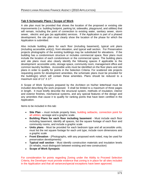### **Tab 5 Schematic Plans / Scope of Work**

A site plan must be provided that shows the location of the proposed or existing site improvements (i.e. building footprint, parking lot, sidewalks, playground, and utilities) that will remain, including the point of connection to existing water, sanitary sewer, storm sewer, electric and gas (as applicable) services. If the Application is part of a phased development, the site plan must clearly show the location of the phase for which the Application is submitted.

Also include building plans for each floor (including basement), typical unit plans (including accessible unit(s)), front elevation, and typical wall section. For Preservation projects photographs of the existing buildings maybe substituted for elevations. If the building has a condominium structure or includes commercial space, floor plans must include the location of each condominium or the commercial space. The building plans and site plans must also clearly identify the following spaces if applicable to the development: accessible units, storage space, community room, management office and common laundry facilities. Accessible units must be identified on the floor plans and site plans in order to qualify for points in the Selection Criteria. For scattered site projects requesting points for development amenities, the schematic plans must be provided for the building(s) which will contain these amenities. Plans should be reduced to a maximum size of 11"  $X$  17".

A Scope of Work Synopsis prepared by the Architect on his/her letterhead must be included describing the work proposed. It shall be limited to a maximum of three pages in length. It must briefly describe the structural system, methods of insulation, interior and exterior finishes, mechanical systems, and any special features of the design and any amenities that cause it to qualify for ranking points that have been certified in the Application.

Items to be included in this tab:

- **Site Plan** must include property lines, building setbacks, connection point for all utilities, acreage and a graphic scale.
- **Building Plans for each floor including basement** Must include each floor including basement, identify all spaces, list the square footage of each floor and community rooms, and include a graphic scale
- **Units plans** Must be provided for each bedroom type and all accessible units, must list the net square footage for each unit type, include room dimensions and a graphic scale
- **Front Elevation** (Photographs, with any proposed work noted, may be used for preservation developments)
- **Typical wall section** Must identify construction materials and insulation levels (in rehabs, must distinguish between existing and new construction)
- **Scope of Work Synopsis**

For consideration for points regarding Zoning under the Ability to Proceed Selection Criteria, the Developer must provide evidence that zoning is in place for all sites included in the Application and that all variances/special exceptions have been approved.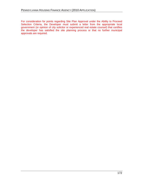For consideration for points regarding Site Plan Approval under the Ability to Proceed Selection Criteria, the Developer must submit a letter from the appropriate local government (or opinion of city solicitor or experienced real estate counsel) that certifies the developer has satisfied the site planning process or that no further municipal approvals are required.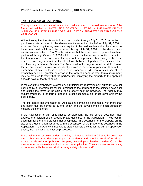### **Tab 6 Evidence of Site Control**

The Applicant must submit evidence of exclusive control of the real estate in one of the forms outlined below. NOTE: SITE CONTROL MUST BE IN THE NAME OF THE "APPLICANT" LISTED IN THE CORE APPLICATION SUBMITTED IN TAB 2 OF THE APPLICATION.

Without exception, the site control must be provided through July 31, 2010. An option to purchase a site included in the development maynot expire before July 31, 2010. If extension fees or option payments are required to be paid, evidence that the extensions have been paid in full must be provided through July 31, 2010. If the development receives a reservation of Tax Credits, evidence that the extensions or options have been paid in full through October 1, 2010 will be required within two weeks of the reservation. If entering into a lease agreement the applicant must provide either a copy of the lease or an executed agreement to enter into a lease between all parties. The minimum term of a lease agreement is 35 years. The Agency will not recognize, at a later date, a value for site acquisition if it was not specifically shown in the initial Application. If an option, agreement of sale, or lease is provided as evidence of site control, evidence of site ownership by seller, grantor, or lessor (in the form of a deed or other formal instrument) may be required to verify that the party/parties conveying the property to the applicant does/do have authority to do so.

In the event the property(s) is owned by a municipality, redevelopment authority, or other public body, a letter from its solicitor designating the applicant as the selected developer and stating the terms of the sale of the property must be provided. The Agency may require evidence, in the form of deeds or other documentation, of site ownership by the public body.

The site control documentation for Applications containing agreements with more than one seller must be controlled by one entity, and the buyer named in each agreement must be the same entity.

If the Application is part of a phased development, the site control document must address the location of the specific phase described in the Application. A site control document for the entire parcel is not acceptable. The description of the property on the site control document must agree with the description of the property as described in the Application. If the Agency is not able to clearly identify the site for the current application phase, the Application will not be processed.

For consideration of points under the Ability to Proceed Selection Criteria, the developer must submit recorded deeds (or copies of the deeds and recording receipts) of all real estate parcels with the Application. Property ownership (as listed on the deeds) must be the same as the ownership entity listed on the Application. (A subsidiary or related entity to be formed with the same principals may satisfy this standard.)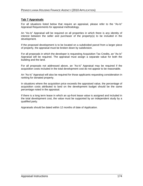#### **Tab 7 Appraisals**

For all situations listed below that require an appraisal, please refer to the "As-Is" Appraisal Requirements for appraisal methodology.

An "As-Is" Appraisal will be required on all properties in which there is any identity of interest between the seller and purchaser of the property(s) to be included in the development.

If the proposed development is to be located on a subdivided parcel from a larger piece of property, the appraisal must be broken down by subdivision.

For all proposals in which the developer is requesting Acquisition Tax Credits, an "As-Is" Appraisal will be required. The appraisal must assign a separate value for both the building and the land.

For all proposals not addressed above, an "As-Is" Appraisal may be required if the acquisition costs included in the total development cost do not appear to be reasonable.

An "As-Is" Appraisal will also be required for those applicants requesting consideration in ranking for donated property.

In situations where the acquisition price exceeds the appraised value, the percentage of acquisition costs attributed to land on the development budget should be the same percentage noted in the appraisal.

If there is a long term lease in which an up-front lease value is assigned and included in the total development cost, the value must be supported by an independent study by a qualified party. qualified party.

Appraisals should be dated within 12 months of date of Application.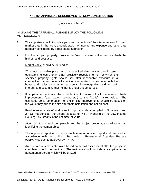#### **AS-IS APPRAISAL REQUIREMENTS - NEW CONSTRUCTION**

(Submit under Tab #7)

IN MAKING THE APPRAISAL, PLEASE EMPLOY THE FOLLOWING METHODOLOGY:

- 1. The appraisal should include a personal inspection of the site, a review of current market data in the area, a consideration of income and expense and other data normally considered by a real estate appraiser.
- 2. For the subject property, provide an "As-Is" market value and establish the highest and best use.

Market Value should be defined as:

The most probable price, as of a specified date, in cash, or in terms equivalent to cash, or in other precisely revealed terms, for which the specified property rights should sell after reasonable exposure in a competitive market under all conditions requisite to a fair sale, with the buyer and seller each acting prudently, knowledgeably, and for selfinterest, and assuming that neither is under undue duress."<sup>1</sup>

- 3. If applicable, estimate the contribution to value of all necessary off-site improvements (e.g., water, sewer, etc.) to the "As-Is" market value. The estimated dollar contribution for the off-site improvements should be based on the value they add to the site after their installation and not on cost.
- 4. Provide an estimate of land value incorporating data compiled in Numbers 1 and 2. Do not consider the unique aspects of PHFA financing or the Low Income Housing Tax Credits in the estimate of value.
- 5. Attach photos of each comparable and the subject property, as well as a map identifying the comparables.
- 6. The appraisal report must be a complete self-contained report and prepared in accordance with the Uniform Standards of Professional Appraisal Practice (USPAP) subject to approval by PHFA.
- 7. An estimate of real estate taxes based on the full assessment after the project is completed should be provided. The estimate should include any applicable tax abatement program which will be utilized.

<sup>&</sup>lt;sup>1</sup> Appraisal Institute, *The Dictionary of Real Estate Appraisal*, 3rd Edition (Chicago: Appraisal Institute, 1993), page 222.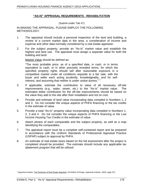#### **AS-IS APPRAISAL REQUIREMENTS - REHABILITATION**

(Submit under Tab #7)

IN MAKING THE APPRAISAL, PLEASE EMPLOY THE FOLLOWING METHODOLOGY:

- 1. The appraisal should include a personal inspection of the land and building, a review of a current market data in the area, a consideration of income and expense and other data normally considered by a real estate appraiser.
- 2. For the subject property, provide an "As-Is" market value and establish the highest and best use. The appraisal must assign a separate value for both the building and land.

Market Value should be defined as:

The most probable price, as of a specified date, in cash, or in terms equivalent to cash, or in other precisely revealed terms, for which the specified property rights should sell after reasonable exposure in a competitive market under all conditions requisite to a fair sale, with the buyer and seller each acting prudently, knowledgeably, and for selfinterest, and assuming that neither is under undue duress."<sup>1</sup>

- 3. If applicable, estimate the contribution to value of all necessary off-site improvements (e.g., water, sewer, etc.) to the "As-Is" market value. The estimated dollar contribution for the off-site improvements should be based on the value they add to the site after their installation and not on cost.
- 4. Provide and estimate of land value incorporating data compiled in Numbers 1, 2 and 3. Do not consider the unique aspects of PHFA financing or the tax credits in the estimate of value.
- 5. Provide a total "As-Is" property value incorporating data compiled in Numbers 1, 2, 3 and 4. Do not consider the unique aspects of PHFA financing or the Low Income Housing Tax Credits in the estimate of value.
- 6. Attach photos of each comparable and the subject property, as well as a map identifying the comparables.
- 7. The appraisal report must be a complete self-contained report and be prepared in accordance with the Uniform Standards of Professional Appraisal Practice (USPAP) subject to approval by PHFA.
- 8. An estimate of real estate taxes based on the full assessment after the project is completed should be provided. The estimate should include any applicable tax abatement program that will be utilized.

<sup>&</sup>lt;sup>1</sup> Appraisal Institute, The Dictionary of Real Estate Appraisal, 3rd Edition (Chicago: Appraisal Institute, 1993), page 222.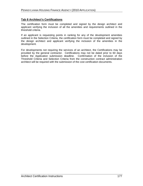#### **Tab 8 Architect s Certifications**

The certification form must be completed and signed by the design architect and applicant verifying the inclusion of all the amenities and requirements outlined in the threshold criteria.

If an applicant is requesting points in ranking for any of the development amenities outlined in the Selection Criteria, the certification form must be completed and signed by the design architect and applicant verifying the inclusion of the amenities in the development.

For developments not requiring the services of an architect, the Certifications may be provided by the general contractor. Certifications may not be dated prior to 60 days before the Application submission deadline. Confirmation of the inclusion of the Threshold Criteria and Selection Criteria from the construction contract administration architect will be required with the submission of the cost certification documents.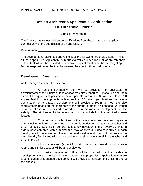# **Design Architect s/Applicant s Certification Of Threshold Criteria**

(Submit under tab #8)

The Agency has requested certain certifications from the architect and applicant in connection with the submission of an application.

Development:\_\_\_\_\_\_\_\_\_\_\_\_\_\_\_\_\_\_\_\_\_\_\_\_\_\_\_\_\_\_\_\_\_\_\_\_\_\_\_\_\_\_\_\_\_\_\_\_\_\_\_\_\_\_\_\_

The development referenced above includes the following threshold criteria. (Initial all that apply) The Applicant must request a waiver under Tab #29 for any threshold criteria that will not be provided. The waiver request must describe the mitigating factors responsible for the inability to meet the specific threshold criteria.

## **Development Amenities**

As the design architect, I certify that:

An on-site community room will be provided (not applicable to developments with 11 units or less or scattered site properties). It shall be one room sized at 15 square feet per unit for developments with up to 50 units or at least 750 square feet for developments with more than 50 units. (Applications that are a continuation of a phased development will provide a room to meet the size requirements based on the aggregate of the number of units in all phases.) A kitchen or kitchenette is to be provided in or adjacent to this room in developments for the elderly. (The kitchen or kitchenette shall not be included in the required square

footage.)<br>\_\_\_\_\_\_\_\_ Common laundry facilities or the provision of washers and dryers in each dwelling unit will be provided. Common laundries will contain one washer and dryer for every 12 units in general occupancy developments or every 20 units in elderly developments, with a minimum of two washers and dryers required in each laundry facility. A minimum of one front load washer and dryer will be provided in each laundry facility and will be provided in accessible units containing a washer and dryer in the unit.<br>\_\_\_\_\_\_\_\_\_ All common areas (except for stair towers, mechanical rooms, storage

rooms and similar spaces) will be air conditioned.

An on-site management office will be provided. (Not applicable to developments with 11 units or less or scattered site properties. Applications that are a continuation of a phased development will provide a management office in one of the phases.)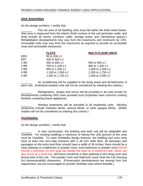## **Unit Amenities**

As the design architect, I certify that:

The net area of all dwelling units must fall within the limits listed below. (Net area is measured from the interior finish surface of the unit perimeter walls, and shall include all rooms, corridors, walls, storage areas, and mechanical spaces.) Rehabilitation developments may vary from the maximums and minimums by 10%. Accessible units may vary from the maximums as required to provide an accessible route and accessible clearances.

|             | <b>FLATS</b>        | <b>MULTI-FLOOR UNITS</b> |
|-------------|---------------------|--------------------------|
| SRO         | 90 to 200 s.f.      |                          |
| <b>EFF</b>  | 400 to 600 s.f.     |                          |
| <b>1 BR</b> | 550 to 850 s.f.     | 650 to 950 s.f.          |
| 2 BR        | 700 to 1,100 s.f.   | 850 to 1,300 s.f.        |
| 3 BR        | 950 to 1,350 s.f.   | 1,000 to 1,550 s.f.      |
| 4 BR        | 1,100 to 1,550 s.f. | 1,200 to 1,750 s.f.      |
| 5 BR        | 1,300 to 1,750 s.f. | 1,400 to 2,000 s.f.      |

Air conditioning will be supplied to the living areas and all bedrooms of each unit. (Individual window units will not be considered as meeting this criteria.)

Refrigerators, ranges and ovens will be provided in all units except for developments containing SRO units provided such properties have common cooking facilities containing these appliances.

Window treatments will be provided in all residential units. Window treatments include Venetian blinds, vertical blinds, or other opaque blinds. (Roller shades will not be considered as meeting this criteria.)

## **VisitAbility**

As the design architect, I certify that:

In new construction, the building and each unit will be adaptable and VisitAble. For existing buildings a minimum of twenty-five (25) percent of the units must be VisitAble. To meet VisitAbility design features: the building and units must have at least one zero-step entrance with a 36 inch wide door; all doorways and passages on the entry level floor should have a width of 36 inches; there should be a clear pathway to a bathroom or powder room; such bathroom or powder room should include a minimum 24 inch grab bar beside the toilet on a reinforced wall, which can also serve as a towel bar; and there should be a clear pathway to the living room and dining area of the unit. The powder room and bathroom must meet the Fair Housing Act maneuverability clearances. (Preservation developments are exempt from this requirement, but are encouraged to provide VisitAble units where feasible.)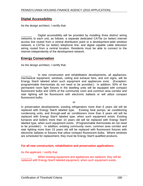## **Digital Accessibility**

As the design architect, I certify that:

Digital accessibility will be provided by installing three distinct wiring networks to each unit, as follows: a separate dedicated CAT5e (or better) internet access line routed from a central distribution point or a development-wide wireless network, a CAT5e (or better) telephone line; and digital capable cable television wiring routed from a central location. Residents must be able to connect to the internet independently of the development network.

## **Energy Conservation**

As the design architect, I certify that:

In new construction and rehabilitation developments, all appliances, mechanical equipment, windows, ceiling and exhaust fans, and exit signs, will be Energy Star® labeled when such equipment and appliances exist. (Exception: programmable thermostats do not need to be provided.) In addition, 50% of the permanent room light fixtures in the dwelling units will be equipped with compact fluorescent bulbs and 100% of the community room and common area corridor and stair lighting will be fluorescent with electronic ballasts or will utilize compact fluorescent bulbs.

or

In preservation developments, existing refrigerators more than 6 years old will be replaced with Energy Star® labeled type. Existing heat pumps, air conditioning condensing units, and through-wall air conditioners more than 6 years old will be replaced with Energy Star® labeled type, when such equipment exists. Existing furnaces and boilers more than 10 years old will be replaced with Energy Star® labeled type, when such equipment exists. (Programmable thermostats do not need to be provided.) In addition, existing community room, common area corridor and stair lighting more than 15 years old will be replaced with fluorescent fixtures with electronic ballasts or fixtures that utilize compact fluorescent bulbs. Where windows are scheduled for replacement, they must be Energy Star® qualified products.

#### **For all new construction, rehabilitation and preservation applications:**

As the applicant, I certify that:

When existing equipment and appliances are replaced, they will be replaced with Energy Star® labeled equipment, when such equipment exists.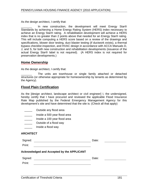As the design architect, I certify that:

In new construction, the development will meet Energy Star® Standards by achieving a Home Energy Rating System (HERS) index necessary to achieve an Energy Star® rating. A rehabilitation development will achieve a HERS index that is no greater than 2 points above that needed for an Energy Star® rating. This will include computing a HERS score based on a review of the drawings and specifications, blower door testing, duct blaster testing (if ductwork exists), a thermal bypass checklist inspection, and HVAC design in accordance with ACCA Manuals D, J, and S, for both new construction and rehabilitation developments (issuance of the actual Energy Star® label is not required). (A HERS index is not required for preservation developments.)

### **Home Ownership**

As the design architect, I certify that:

The units are townhouse or single family attached or detached structures (or otherwise appropriate for homeownership by tenants as determined by the Agency).

## **Flood Plain Certification**

As the [design architect, landscape architect or civil engineer] I, the undersigned, hereby certify that I have procured and reviewed the applicable Flood Insurance Rate Map published by the Federal Emergency Management Agency for this development's site and have determined that the site is: (Check all that apply)

- \_\_\_\_\_ Outside any flood area
- \_\_\_\_\_ Inside a 500 year flood area
- \_\_\_\_\_ Inside a 100 year flood area
- \_\_\_\_\_\_\_\_\_ Outside of a flood way contained a set of a flood way and a set of a set of a set of a set of a set o
- \_\_\_\_\_ Inside a flood way

#### **ARCHITECT**

| Signed:                                           | Date: |  |  |  |
|---------------------------------------------------|-------|--|--|--|
| Print:                                            |       |  |  |  |
| <b>Acknowledged and Accepted by the APPLICANT</b> |       |  |  |  |
| Signed:                                           | Date: |  |  |  |
| Print:                                            |       |  |  |  |
|                                                   |       |  |  |  |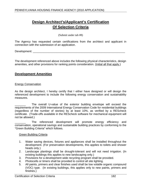# **Design Architect s/Applicant s Certification Of Selection Criteria**

(Submit under tab #8)

The Agency has requested certain certifications from the architect and applicant in connection with the submission of an application.

Development: \_\_\_\_\_\_\_\_\_\_\_\_\_\_\_\_\_\_\_\_\_\_\_\_\_\_\_\_\_\_\_\_\_\_\_\_\_\_\_\_\_\_\_\_\_\_\_\_\_\_\_\_\_\_\_\_\_\_\_

The development referenced above includes the following physical characteristics, design amenities, and other provisions for ranking points consideration. (Initial all that apply.)

## **Development Amenities**

#### **Energy Conservation Energy Conservation**

As the design architect, I hereby certify that I either have designed or will design the referenced development to include the following energy conservation and sustainability measures. The contract of the contract of the contract of the contract of the contract of the contract of the contract of the contract of the contract of the contract of the contract of the contract of the contract of the

The overall U-value of the exterior building envelope will exceed the requirements of the 2009 International Energy Conservation Code for residential buildings (regardless of the number of stories) by at least 10%, as verified by a REScheck certificate. (Trade-offs available in the REScheck software for mechanical equipment will not be allowed.)

The referenced development will promote energy efficiency and conservation, operational savings and sustainable building practices by conforming to the Green Building Criteria" which follows.<br>Green Building Criteria

- 1. Water saving devices, fixtures and appliances shall be installed throughout the development. (For preservation developments, this applies to toilets and shower heads only.)<br>2. Landscape plantings shall be drought-tolerant and will not need irrigation. (In
- existing buildings this applies to new landscaping only.)
- 3. Provisions for a development wide recycling program shall be provided.
- 4. Photocells or timers shall be provided to control all site lighting.
- 5. All paints, primers and clear finishes used shall be low volatile organic compound (VOC) type. (In existing buildings, this applies only to new paints, primers and finishes.)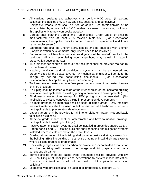- 6. All caulking, sealants and adhesives shall be low VOC type. (In existing buildings, this applies only to new caulking, sealants and adhesives.)
- 7. Composite woods used shall be free of added urea formaldehyde or be encapsulated by a durable low VOC sealant or veneer. (In existing buildings, this applies only to new composite woods.)
- 8. Carpets shall bear the Carpet and Rug Institute "Green Label" or shall be manufactured from at least 25% recycled materials. (For preservation developments, this applies only to carpet in need of replacement and future carpet replacement.)
- 9. Bathroom fans shall be Energy Star® labeled and be equipped with <sup>a</sup> timer. (For preservation developments, only timers need to be installed.)
- 10. Bathroom and Kitchen fans and clothes dryers shall be vented directly to the outdoors. (Existing recirculating type range hood may remain in place in preservation developments.)
- 11. 15 cubic feet per minute of fresh air per occupant shall be provided via natural or mechanical means.
- 12. Heating, ventilation and air-conditioning systems shall be engineered and properly sized for the space covered. A mechanical engineer will certify to the design by sealing the construction documents. (For preservation developments, this applies only to new equipment.)
- 13. Tankless water heaters or overflow pans under conventional water heaters shall be provided.
- 14. No piping shall be located outside of the interior finish of the insulated building envelope. (Not applicable to existing piping in preservation developments.)
- 15. All domestic water pipes except for PEX piping shall be insulated. (Not applicable to existing concealed piping in preservation developments.)
- 16. No mold-propagating materials shall be used in damp areas. Only moisture resistant materials shall be used in bathrooms and at tub-shower surrounds. (Not applicable to preservation developments.)
- 17. Vapor barriers shall be provided for all interior slabs on grade. (Not applicable to existing buildings.)
- 18. All below grade spaces shall be waterproofed and have foundation drainage. (Not applicable to existing buildings.)
- 19. Passive radon mitigation systems shall be installed in areas designated as EPA Radon Zone 1 and 2. (Existing buildings shall be tested and mitigation systems installed where results are above the action level.)
- 20. Grading at perimeter of the building shall provide positive drainage away from the building. (Existing buildings must revise grading or install drainage systems where existing grading is problematic.)
- 21. Units with garages shall have a carbon monoxide sensor controlled exhaust fan and the demising wall between the garage and living space shall be a continuous air barrier.
- 22. Termite shields or borate based wood treatment shall be provided with low VOC caulking at all floor joints and penetrations to prevent insect infestation. Chemical soil treatment shall not be used. (Not applicable to existing buildings.)
- 23. Lead safe work practices shall be used in all properties built before 1978.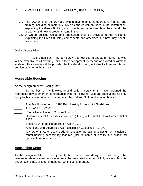- 24. The Owner shall be provided with a maintenance & operations manual and training including all materials, systems and equipment used in the construction, explaining the Green Building components and amenities, how they benefit the property, and how to properly maintain them.
- 25. A Green Building Guide and orientation shall be provided to the residents explaining the Green Building components and amenities and how they benefit from them. The contract of the contract of the contract of the contract of the contract of the contract of the contract of the contract of the contract of the contract of the contract of the contract of the contract of the

### Digital Accessibility

As the applicant, I hereby certify that low cost broadband internet service will be available to all dwelling units in the development by means of a wired or wireless system. This service will be provided by the development, not directly from an internet service provider to the tenant.

## **Accessible Housing**

As the design architect, I certify that:

\_\_\_\_\_\_\_To the best of my knowledge and belief I certify that I have designed the referenced development in conformance with the following rules and regulations as they apply to this development and as amended by Federal, State and local authorities.

- The Fair Housing Act of 1988 Fair Housing Accessibility Guidelines
- \_\_\_\_\_ ANSI A117.1 (2003)
- Pennsylvania Uniform Construction Code
- Uniform Federal Accessibility Standard (UFAS) of the Architectural Barriers Act of 1968 1968
- Section 504 of the Rehabilitation Act of 1973
- Americans with Disabilities Act Accessibility Guidelines (ADAAG)
- Any Other State or Local Code or regulation pertaining to design or inclusion of rental housing accessibility features (Include name of locality and citation for applicable requirements)

## **Accessible Units**

As the design architect, I hereby certify that I either have designed or will design the referenced development to include twice the mandated number of fully accessible units under local, state, or federal mandate, whichever is greater.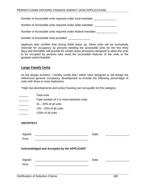Number of Accessible units required under local mandate:

Number of Accessible units required under state mandate: \_\_\_\_\_\_\_\_\_\_\_\_\_\_\_\_\_\_\_\_\_\_\_

Number of Accessible units required under federal mandate:

Number of Accessible units provided:

Applicant also certifies that during initial lease up, these units will be exclusively reserved for occupancy by persons needing the accessible units for the first thirty days and thereafter will provide for certain lease provisions designed to allow the units to be occupied by persons who need the accessible features of the units to the greatest extent feasible.

## **Large Family Units**

As the design architect, I hereby certify that I either have designed or will design the referenced general occupancy development to include the following percentage of units with three or more bedrooms:

\*High rise developments and senior housing can not qualify for this category.

- \_\_\_\_\_\_ Total units
- Total number of 3 or more bedroom units
- **with 15 20% of all units 15 20% of all units**
- $\frac{1}{2}$   $>$   $\frac{20 25\% \text{ of all units}}{20}$
- $\frac{1}{2}$   $>$  25% of all units

#### **ARCHITECT**

| Signed:<br>Print:                          | Date: |  |  |
|--------------------------------------------|-------|--|--|
| Acknowledged and Accepted by the APPLICANT |       |  |  |
| Signed:<br>Print:                          | Date: |  |  |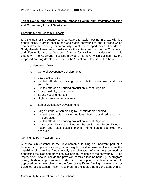## **Tab 9 Community and Economic Impact / Community Revitalization Plan and Community Impact Set-Aside**

#### Community and Economic Impact:

It is the goal of the Agency to encourage affordable housing in areas with job opportunities, in areas near strong and stable communities and in areas which demonstrate the capacity for community revitalization opportunities. The Market Study /Needs Assessment must identify the criteria set forth in the Community and Economic Impact Selection Criteria for ranking consideration in this category. The Applicant must also provide a narrative which outlines how the proposed housing development meets the Selection Criteria identified below.

- 1. Underserved Areas
	- a. General Occupancy Developments
		- Low poverty rates and the state of the state of the state of the state of the state of the state of the state o
		- Limited affordable housing options, both subsidized and non subsidized
		- Limited affordable housing production in past 20 years
		- Close proximity to employment
		- Strong housing markets
		- High owner-occupied markets  $\bullet$
	- b. Senior Occupancy Developments
		- Large number of seniors eligible for affordable housing
		- Limited affordable housing options, both subsidized and non subsidized
		- Limited affordable housing production in past 20 years
		- Close proximity to amenities for the senior population, including health and retail establishments, home health agencies and hospitals

Community Revitalization Plan:

A critical circumstance is the development's forming an important part of a broader or comprehensive program of neighborhood improvement which has the capability of changing fundamentally the character of that neighborhood or enhancing the lives and amenities available to residents of the community. Such improvement should include the provision of mixed income housing. A program of neighborhood improvement includes municipal support articulated in a publicly approved community plan or in the form of significant funding commitments, or evidence of substantial major investment in the area that is consistent with an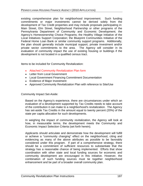existing comprehensive plan for neighborhood improvement. Such funding commitments or major investments cannot be derived solely from the development of Tax Credit properties and may include proposals participating in: Main Street, Elm Street, Neighborhood Partnership or other programs of the Pennsylvania Department of Community and Economic Development; the Agency's Homeownership Choice Programs; the Healthy Village Initiative of the Local Initiatives Support Corporation; the Blueprint Communities Initiative of the Federal Home Loan Bank or similar community support programs. Additionally, the plan should generally include municipal support, private investment and/or private sector commitments to the area. The Agency will consider in its evaluation of community impact the use of existing housing or buildings if the development is not located in a qualified census tract.

Items to be included for Community Revitalization:

- Attached Community Revitalization Plan form
- Letter from Local Government
- Local Government Financing Commitment Documentation
- Evidence of Major Investment
- Approved Community Revitalization Plan with reference to Site/Use

Community Impact Set-Aside:

Based on the Agency's experience, there are circumstances under which an evaluation of a development supported by Tax Credits needs to take account of the contribution it can make to a neighborhood's revitalization. The Agency has set-aside Tax Credits in the amount equal to twenty percent (20%) of the state per capita allocation for such developments.

In weighing the impact of community revitalization, the Agency will look at how, in measurable terms, the development meets the Community and Economic Impact Selection Criteria (set forth herein).

Applicants should articulate and demonstrate how the development will fulfill or achieve a "community changing" effect on the neighborhood, citing and evidencing as many of the above attributes as possible to be favorably considered under this program. If part of a comprehensive strategy, there should be a commitment of sufficient resources to substantiate that the strategy has a reasonable chance of being implemented. Efforts that show coordination with other state and local funding sources for economic and community development are encouraged in this initiative. However, the combination of such funding sources must tie together neighborhood enhancement and be part of a broader overall community plan.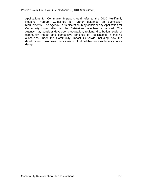Applications for Community Impact should refer to the 2010 Multifamily Housing Program Guidelines for further guidance on submission requirements. The Agency, in its discretion, may consider any Application for Community Impact after the other Set-Asides have been exhausted. The Agency may consider developer participation, regional distribution, scale of community impact and competitive rankings of Applications in making allocations under the Community Impact Set-Aside including how the development maximizes the inclusion of affordable accessible units in its design.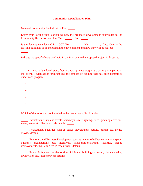#### **Community Revitalization Plan**

Name of Community Revitalization Plan

Letter from local official explaining how the proposed development contributes to the **Community Revitalization Plan: Yes No** 

Is the development located in a QCT Yes No identify the existing buildings to be included in the development and how they will be reused:

Indicate the specific location(s) within the Plan where the proposed project is discussed:

List each of the local, state, federal and/or private programs that are participating in the overall revitalization program and the amount of funding that has been committed under each program:

- $\bullet$
- 
- 
- $\bullet$
- $\bullet$

Which of the following are included in the overall revitalization plan:

Infrastructure such as streets, walkways, street lighting, trees, greening activities, water, sewer etc. Please provide details:

Recreational Facilities such as parks, playgrounds, activity centers etc. Please provide details:

Economic and Business Development such as new or rehabbed commercial space, business organizations, tax incentives, transportation/parking facilities, facade improvements, marketing etc. Please provide details:

Public Safety such as demolition of blighted buildings, cleanup, block captains, town watch etc. Please provide details: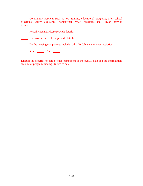Community Services such as job training, educational programs, after school programs, utility assistance, homeowner repair programs etc. Please provide details:

**Rental Housing. Please provide details:** 

**Homeownership. Please provide details:** 

Do the housing components include both affordable and market rate/price

**Yes \_\_\_\_\_\_\_ No \_\_\_\_\_** 

Discuss the progress to date of each component of the overall plan and the approximate amount of program funding utilized to date: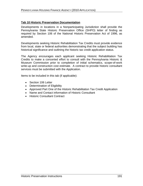## **Tab 10 Historic Preservation Documentation**

Developments in locations in a Nonparticipating Jurisdiction shall provide the Pennsylvania State Historic Preservation Office (SHPO) letter of finding as required by Section 106 of the National Historic Preservation Act of 1996, as amended.

Developments seeking Historic Rehabilitation Tax Credits must provide evidence from local, state or federal authorities demonstrating that the subject building has historical significance and outlining the historic tax credit application status.

The Agency encourages each applicant seeking Historic Rehabilitation Tax Credits to make a concerted effort to consult with the Pennsylvania Historic & Museum Commission prior to completion of initial schematics, scope-of-work write-up and construction cost estimate. A contract to provide historic consultant services must be submitted with the Application.

Items to be included in this tab (if applicable):

- Section 106 Letter **Section** 106 Letter **Section** 106 Letter **Section** 106 Letter **Section** 106 Letter **Section** 106 Letter **Section** 106 Letter **Section** 106 Letter **Section** 106 Letter **Section** 106 Letter **Section** 106
- Determination of Eligibility
- Approved Part One of the Historic Rehabilitation Tax Credit Application
- Name and Contact information of Historic Consultant
- Historic Consultant Contract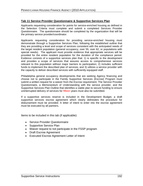#### **Tab 11 Service Provider Questionnaire & Supportive Services Plan**

Applicants requesting consideration for points for service-enriched housing as defined in the Selection Criteria must complete and submit a completed Services Provider Questionnaire. The questionnaire should be completed by the organization that will be the primary service provider/coordinator.

Applicants requesting consideration for providing service-enriched housing must demonstrate through a Supportive Services Plan, following the established outline that they are providing a level and scope of services consistent with the anticipated needs of the target resident population (general occupancy, over 55, over 62, or populations with special needs). The applicant must provide evidence that appropriate services will be provided for the entire resident population for the duration of the compliance period. Evidence consists of a supportive services plan that: 1) is specific to the development and provides a scope of services that assures access to comprehensive services relevant to this population without major barriers to participation; 2) includes sufficient funds to implement the described plan of services; and 3) utilizes a service provider with

the capacity to deliver described services with sufficiently equipped staff.<br>Philadelphia general occupancy developments that are seeking Agency financing and choose not to participate in the Family Supportive Services (Escrow) Program must submit a written request for a waiver from the Escrow requirement. The Service Provider Questionnaire, a Memorandum of Understanding with the service provider, and the Supportive Services Plan Outline that identifies a viable plan to secure funding to ensure uninterrupted delivery of services for fifteen years must also be submitted.

If a supportive services reserve is included in the Development Budget, a draft supportive services escrow agreement which clearly delineates the procedure for disbursement must be provided. A letter of intent to enter into the escrow agreement must be executed by all partners.

Items to be included in this tab (if applicable):

- **•** Service Provider Questionnaire
- Supportive Service Plan
- Waiver request to not participate in the FSSP program
- Draft Escrow Agreement
- Executed Escrow Agreement Letter of Intent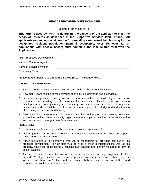#### **SERVICE PROVIDER QUESTIONNAIRE**

(Submit under Tab #11)

**This form is used by PHFA to determine the capacity of the applicant to meet the needs of residents as described in the Supportive Services Plan Outline. All applicants requesting consideration for providing service-enriched housing for the designated resident population (general occupancy, over 55, over 62, or populations with special needs) must complete and include this form with the Application.**

| PHFA Proposed Development: |  |  |  |
|----------------------------|--|--|--|
| Name of Owner or Agent:    |  |  |  |
| Name of Service Provider:  |  |  |  |
| Occupancy Type             |  |  |  |

#### **Please attach answers to questions 1 through 10 in narrative form.**

#### **GENERAL INFORMATION**

- 
- 1. Summarize the service provider's mission and goals for the current fiscal year.<br>2. How many years has the service provider been active in delivering social services?
- 3. Is the service provider currently involved in service-enriched housing? If yes, summarize experience in providing on-site services for residents. Include name of housing development(s), property management company, and type of services provided. If no, please describe methods that will be used to increase your company's knowledge and understanding of providing service-enriched housing.
- 4. Describe collaborative efforts that demonstrate the service provider's capacity to deliver supportive services. Please identify organizations or companies involved in the collaboration and the nature of the organization's involvement.

#### **PERSONNEL**

- 5. How many people are employed by the service provider organization?
- 6. List the job titles of personnel who will work directly with residents of the proposed property. Attach an organizational chart.
- 7. Attach resume(s) of key personnel who will be responsible for providing services in this proposed development. If new staff must be hired in order to implement the work at this property, attach job description(s), including qualifications and identify resources to pay for cost of salaries. The contract of salaries of salaries and the contract of salaries of salaries of  $\sim$
- 8. Are key personnel currently involved in service-enriched housing programs at other properties? If yes, explain how many properties, how many total units, where they are located, and how staff's time will be divided between current responsibilities and responsibilities at the new development.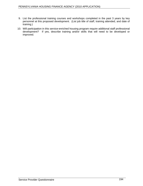- 9. List the professional training courses and workshops completed in the past 3 years by key personnel at this proposed development. (List job title of staff, training attended, and date of training.) training.)
- 10. Will participation in this service-enriched housing program require additional staff professional development? If yes, describe training and/or skills that will need to be developed or improved.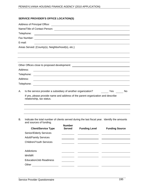#### PENNSYLVANIA HOUSING FINANCE AGENCY (2010 APPLICATION)

#### **SERVICE PROVIDER S OFFICE LOCATION(S)**

| Address of Principal Office:<br><u> 1980 - Johann Stein, mars an de British Barbara, mar an deis an deis an deis an deis an deis an deis an deis</u>                  |  |
|-----------------------------------------------------------------------------------------------------------------------------------------------------------------------|--|
|                                                                                                                                                                       |  |
| Telephone:<br><u> 1989 - Johann Stoff, deutscher Stoffen und der Stoffen und der Stoffen und der Stoffen und der Stoffen und d</u>                                    |  |
| Fax Number:<br><u> 1980 - Jan Sarajević, politika i postala i postala i postala i postala i postala i postala i postala i post</u>                                    |  |
| E-mail:<br>and the control of the control of the control of the control of the control of the control of the control of the                                           |  |
| Areas Served: {County(s), Neighborhood(s), etc.}                                                                                                                      |  |
|                                                                                                                                                                       |  |
| Other Offices close to proposed development:<br><u> 1989 - Johann Stoff, deutscher Stoffen und der Stoffen und der Stoffen und der Stoffen und der Stoffen und de</u> |  |
| Address:                                                                                                                                                              |  |
| Telephone:<br><u> 1989 - Jan Sarajević, politika i postala i postala i postala i postala i postala i postala i postala i post</u>                                     |  |
| Address:                                                                                                                                                              |  |
| Telephone:<br><u> 1980 - Jan Samuel Barbara, margaret eta biztanleria (h. 1980).</u>                                                                                  |  |
| A. Is the service provider a subsidiary of another organization?<br>______ Yes ______ No                                                                              |  |
| If yes, please provide name and address of the parent organization and describe<br>relationship, tax status.                                                          |  |
|                                                                                                                                                                       |  |

B. Indicate the total number of clients served during the last fiscal year. Identify the amounts and sources of funding.

|                                | <b>Number</b><br><b>Served</b> |                      |                       |
|--------------------------------|--------------------------------|----------------------|-----------------------|
| <b>Client/Service Type</b>     |                                | <b>Funding Level</b> | <b>Funding Source</b> |
| Senior/Elderly Services        |                                |                      |                       |
| <b>Adult/Family Services</b>   |                                |                      |                       |
| <b>Children/Youth Services</b> |                                |                      |                       |
|                                |                                |                      |                       |
| Addictions                     |                                |                      |                       |
| MH/MR                          |                                |                      |                       |
| <b>Education/Job Readiness</b> |                                |                      |                       |
| Other                          |                                |                      |                       |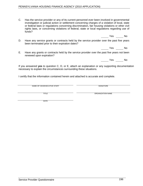#### PENNSYLVANIA HOUSING FINANCE AGENCY (2010 APPLICATION)

- C. Has the service provider or any of its current personnel ever been involved in governmental investigation or judicial action or settlement concerning charges of a violation of local, state or federal laws or regulations concerning discrimination, fair housing violations or other civil rights laws, or concerning violations of federal, state or local regulations regarding use of funds?
- D. Have any service grants or contracts held by the service provider over the past five years been terminated prior to their expiration dates?
- E. Have any grants or contracts held by the service provider over the past five years notbeen renewed upon expiration?

If you answered **yes** to question C, D, or E, attach an explanation or any supporting documentation necessary to explain the circumstances surrounding these situations.

I certify that the information contained herein and attached is accurate and complete.

NAME OF CEO/EXECUTIVE STAFF SIGNATURE SIGNATURE SIGNATURE SIGNATURE

TITLE **Example 2012 12:20 THE CONSTRUCTION ORGANIZATION NAME** 

DATE

Yes No

Yes No

Yes No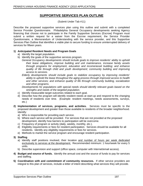## **SUPPORTIVE SERVICES PLAN OUTLINE**

(Submit Under Tab #11)

Describe the proposed supportive services plan using this outline and submit with a completed Service Provider Questionnaire. Philadelphia General Occupancy developments seeking Agency financing that choose not to participate in the Family Supportive Services (Escrow) Program must submit a written request for a waiver from the Escrow requirement, the Service Provider Questionnaire, a Memorandum of Understanding with the service provider, and this Supportive Services Plan Outline that identifies a viable plan to secure funding to ensure uninterrupted delivery of services for fifteen years. The service of the services for fifteen years.

#### **1) Anticipated Resident Needs and Program Goals**

- a) Identify the target population.
- b) Identify the goals of the supportive services program.
	- General Occupancy developments should include goals to improve residents' ability to uphold their lease obligations, improve building and unit maintenance, increase family assets through programs for employment, education and income/asset building; and enhance quality of life through child and youth development; community building and improving access to services.
	- Elderly developments should include goals to stabilize occupancy by improving residents' ability to uphold the lease throughout the aging process through improved access to health and other services; and enhance quality of life through community building, socialization and other programs.
	- Developments for populations with special needs should identify relevant goals based on the strengths and needs of the targeted population.
- c) Identify measurable target outcomes related to each goal.
- d) Describe how the program will identify resident needs at start-up and respond to the changing needs of residents over time. (Example: resident meetings, needs assessments, surveys, etc.)
- **2) Implementation of services, programs, and activities.** Services must be specific to the proposed development and greater than those available to residents of the broader neighborhood. Identify: which is a set of the set of the set of the set of the set of the set of the set of the set of the set of the set of the set of the set of the set of the set of the set of the set of the set of the set of the set
	- a) Who is responsible for providing each service.
	- b) Where each service will be provided. For services that are not provided at the proposed development, identify how barriers to participation will be overcome.
	- c) Frequency of program or activity (daily, weekly, monthly, etc.).
	- d) Eligibility requirements or fees for resident participation. Services should be available for all residents. Identify any eligibility requirements or fees for services.
	- e) Methods to market the service program and encourage resident participation.
- **3) Staffing** 
	- a) Identify staff positions involved, their location and number of hours per week dedicated exclusively to services at the development. Recommended minimum: 1 hour/week for every 5 units.
	- b) Describe supervision and support (office space, computer with Internet/email access).
- **4) Budget and source of funds.** Identify the annual cost and the source of funds to pay for services and staffing.
- **5) Coordination with and commitment of community resources.** If other service providers are integral to this plan of services, include a letter of intent describing what services they will provide.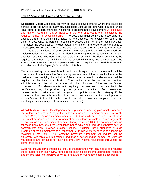#### **Tab 12 Accessible Units and Affordable Units**

**Accessible Units:** Consideration may be given to developments where the developer agrees to provide twice as many fully accessible units as are otherwise required (under local, state, or federal mandate, whichever is greater) in the development. All employee and market rate units must be included in the total units count when calculating the required number of accessible units. The developer must certify that these units are accessible and, that during initial lease up, the developer will exclusively reserve the units for occupancy by persons needing the accessible units for the first thirty days. Thereafter, the developer will include certain provisions in the lease to allow the units to be occupied by persons who need the accessible features of the units, to the greatest extent feasible. Evidence of enforcement of the lease provisions will be required and implementation and adherence to additional outreach programs to identify and match qualified residents who need the accessible features within the development maybe required throughout the initial compliance period which may include contacting the Agency prior to renting the unit to persons who do not require the accessible features in accordance with the Agency's Accessible Unit Policy.

Terms addressing the accessible units and the subsequent rental of these units will be incorporated in the Restrictive Covenant Agreement. In addition, a certification from the design architect verifying the inclusion of the accessible units in the development will be required at the time of application. Confirmation from the construction contract administration architect will be required with the submission of the cost certification documents. For developments not requiring the services of an architect, the certifications may be provided by the general contractor. For preservation developments, consideration will be given for points under this category if the development increases the number of accessible units available in the development by at least 5 percent of the total units available. (All other requirements applicable to rental and long term occupancy of these units are the same.)

**Affordability of Units** – Developments must provide a financing plan which evidences that at least ten percent (10%) of the units are affordable to persons at or below twenty percent (20%) of the area median income, adjusted for family size. At least half of these units must be accessible. The development must evidence a viable plan to charge rents at levels affordable to persons at or below twenty percent (20%) of area median income for these units throughout the compliance period which shall include supportive service commitments from qualified provider entities (including those supported through programs of the Commonwealth's Department of Public Welfare) needed to support the residents of the units. The Restrictive Covenant Agreement will require that the extremely low rents are maintained and that a corresponding number of units are marketed to and set aside for such extremely low income households throughout the

compliance period.<br>Evidence of such commitments may include the partnering with local agencies (including those supported through DPW funding) for referrals for income-appropriate residents and the provision of supportive services, if relevant, throughout the compliance period.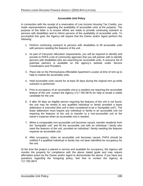#### **Accessible Unit Policy**

In connection with the receipt of a reservation of Low Income Housing Tax Credits, you made representations regarding the availability of accessible units at the property. The purpose of this letter is to ensure efforts are made to provide continuing outreach to persons with disabilities and to inform persons of the availability of accessible units. To accomplish this goal, the Agency will require that the Owner and/or Agent perform the following:

- 1. Perform continuing outreach to persons with disabilities to fill accessible units with persons needing the features of the unit.
- 2. As part of Carryover Allocation requirements, you will be required to identify and provide to PHFA a list of community agencies that you will partner with to identify persons with disabilities who are searching for accessible units. A resource list of potential partners is available on the agency's website under Service Coordinators and Providers.
- 3. Place site on the Pennsylvania Affordable Apartment Locator at time of rent up to help to market the accessible units.
- 4. Hold accessible units vacant for at least 30 days during the original rent up while outreach is performed.
- 5. Prior to occupancy of an accessible unit to a resident not requiring the accessible feature of the unit, contact the Agency (717.780.3874) for help to locate a viable candidate for the unit.
- 6. If after 30 days an eligible person requiring the features of the unit is not found, the unit may be rented to any qualified individual or family provided a lease addendum is executed (this unit is then considered to be a "bumpable unit"). The lease addendum must require any individual or family in an accessible unit not requiring the features of the unit to transfer to a non-accessible unit at the owner's expense when an accessible unit is needed.
- 7. When a comparable non-accessible unit becomes vacant, transfer residents from the "bumpable unit" and fill the accessible unit with an individual  $/$  family who need the features of the unit, provided an individual / family needing the features requests an accessible unit.
- 8. After occupancy, when an accessible unit becomes vacant, PHFA should be notified if a qualified individual or family has not been identified for occupancy for the unit.

At the time the project is placed in service and available for occupancy, the Agency will monitor the property for compliance with the above stated goals and may require affirmative action by the Owner and/or Agent to demonstrate the above. If you have any questions regarding the foregoing policy, feel free to contact the Agency at 717.780.3874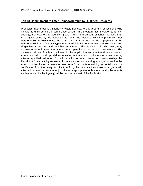#### **Tab 13 Commitment to Offer Homeownership to Qualified Residents**

Proposals must present a financially viable homeownership program for residents who inhabit the units during the compliance period. The program must incorporate an exit strategy, homeownership counseling and a minimum amount of funds (not less than \$1,000) set aside by the developer to assist the residents with the purchase. For PennHOMES developments, the exit strategy must include the repayment of the PennHOMES loan. The only types of units eligible for consideration are townhouse and single family attached and detached structures. The Agency, in its discretion, may approve other unit types if structured as cooperative or condominium ownership. The developer will certify this commitment in the Application and the Restrictive Covenant Agreement will contain provisions ensuring enforcement of the related covenants by affected qualified residents. Should the units not be converted to homeownership, the Restrictive Covenant Agreement will contain a provision waiving any right to petition the Agency to terminate the extended use term for all units remaining as rental units. A certification from the design architect verifying the units are townhouse or single family attached or detached structures (or otherwise appropriate for homeownership by tenants as determined by the Agency) will be required as part of the Application.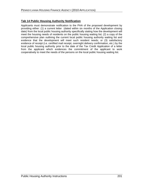## **Tab 14 Public Housing Authority Notification**

Applicants must demonstrate notification to the PHA of the proposed development by providing either: (1) a current letter (dated within six months of the Application closing date) from the local public housing authority specifically stating how the development will meet the housing needs of residents on the public housing waiting list; (2) a copy of the comprehensive plan outlining the current local public housing authority waiting list and evidence that the development will meet such resident needs; or (3) satisfactory evidence of receipt (i.e. certified mail receipt, overnight delivery confirmation, etc.) by the local public housing authority prior to the date of the Tax Credit Application of a letter from the applicant which evidences the commitment of the applicant to work cooperatively to meet the needs of the persons on the local public housing waiting list.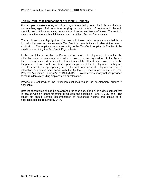#### **Tab 15 Rent Roll/Displacement of Existing Tenants**

For occupied developments, submit a copy of the existing rent roll which must include: unit number; ages of all tenants occupying the unit; number of bedrooms in the unit; monthly rent; utility allowance; tenants' total income; and terms of lease. The rent roll must state if any tenant is a full time student or utilizes Section 8 assistance.

The applicant must highlight on the rent roll those units currently occupied by a household whose income exceeds Tax Credit income limits applicable at the time of application. The applicant must also certify to the Tax Credit Applicable Fraction to be used in determining the Tax Credit Eligible basis.

In the event the acquisition and/or rehabilitation of a development will result in the relocation and/or displacement of residents, provide satisfactory evidence to the Agency that, to the greatest extent feasible, all residents will be offered their choice to either be temporarily relocated until such time, upon completion of the development, as they are able to return to an appropriately-sized affordable unit in the development or receive relocation benefits in accordance with the Uniform Relocation Assistance and Real Property Acquisition Policies Act of 1970 (URA). Provide copies of any notices provided to the residents regarding displacement or relocation.

Provide a breakdown of the relocation cost included in the development budget, if applicable.

Detailed tenant files should be established for each occupied unit in a development that is located within a nonparticipating jurisdiction and seeking a PennHOMES loan. The tenant file should contain documentation of household income and copies of all applicable notices required by URA.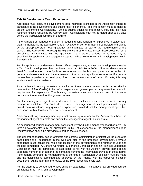#### **Tab 16 Development Team Experience**

Applicants must certify the development team members identified in the Application intend to participate in the development and outline their experience. This information must be detailed on the Experience Certifications. Do not submit additional information, including individual resumes, unless requested by Agency staff. Certifications may not be dated prior to 60 days before the Application submission deadline.

If the applicant or management agent is requesting consideration for experience in states other than Pennsylvania, the applicable "Out of PA Experience" form must be completed and signed by the appropriate state housing agency and submitted as part of the requirements of this exhibit. The Agency will not recognize experience in other states unless these executed forms are signed and submitted with the Application. Out-of-state experience forms need only be submitted by applicants or management agents without experience with developments within Pennsylvania.

For the applicant to be deemed to have sufficient experience, at least one development must be a Tax Credit development that has been issued an IRS Form 8609. All other developments listed for consideration of the Applicant experience must be both completed and occupied. In general, a development must have a minimum of ten units to qualify for experience. If a general partner has experience in developing 3 or more developments of under 10 units, this may evidence sufficient experience.

An experienced housing consultant (consulted on three or more developments that received a reservation of Tax Credits) in lieu of an experienced general partner may meet the threshold requirement for experience. The housing consultant must complete and submit the same documentation required for the general partner.

For the management agent to be deemed to have sufficient experience, it must currently manage at least three Tax Credit developments. Management of developments with project based rental assistance may qualify as experience, provided that the management agent has experience with at least one Tax Credit development.

Applicants utilizing a management agent not previously reviewed by the Agency must have the management agent complete and submit the Management Agent Questionnaire.

An experienced housing management consultant (involved in the management of 3 or more Tax Credit developments) may be substituted in lieu of experience of the management agent. Documentation should be provided supporting the experience.

The general contractor, design architect and contract administration architect will be evaluated based upon their experience in the type and size of the proposed development. Previous experience must include the name and location of the developments, the number of units and the date completed. A General Contractor Experience Certification and an Architect Experience Certification must be completed. If experience is not with the Agency, provide name(s) and telephone number(s) of person(s) to contact to confirm the information provided in these forms. If the general contractor is not determined at the time of Application, A selection must be made and the qualifications submitted and approved by the Agency with the carryover allocation documents, but no later than the review of the 10% reasonable basis test.

For the attorney to be deemed to have sufficient experience, it must have had provided counsel on at least three Tax Credit developments.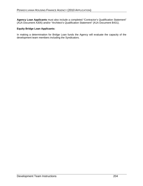Agency Loan Applicants must also include a completed "Contractor's Qualification Statement" (A1A Document A305) and/or "Architect's Qualification Statement" (A1A Document B431).

#### **Equity Bridge Loan Applicants:**

In making a determination for Bridge Loan funds the Agency will evaluate the capacity of the development team members including the Syndicators.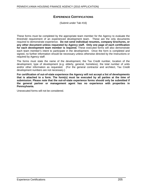## **EXPERIENCE CERTIFICATIONS**

(Submit under Tab #16)

These forms must be completed by the appropriate team member for the Agency to evaluate the threshold requirement of an experienced development team. These are the only documents required to demonstrate experience. **Do not send individual resumes, company brochures, or any other document unless requested by Agency staff. Only one page of each certification for each development team member is required.** These executed forms will also demonstrate each team member's intent to participate in the development. Once the form is completed and signed, no further information should be necessary unless otherwise directed by the Instructions or required by Agency staff.

The forms must state the name of the development, the Tax Credit number, location of the development, type of development (e.g. elderly, general, homeless), the total number of units and/or other information as requested. (For the general contractor and architect, Tax Credit development numbers are not necessary.)

**For certification of out-of-state experience the Agency will not accept a list of developments that is attached to a form. The form(s) must be executed by all parties at the time of submission. Please note that the out-of-state experience forms should only be submitted if the general partner or management agent has no experience with properties in Pennsylvania.**

Unexecuted forms will not be considered.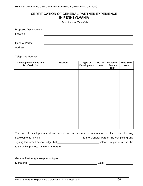## **CERTIFICATION OF GENERAL PARTNER EXPERIENCE IN PENNSYLVANIA**

(Submit under Tab #16)

| <b>Proposed Development:</b> |  |
|------------------------------|--|
| Location:                    |  |
|                              |  |
| <b>General Partner:</b>      |  |
| Address:                     |  |
|                              |  |

Telephone Number:

| Development Name and<br>Tax Credit No. | Location | Type of No. of Placed-In- Date 8609<br>Development Units Service Issued | <b>Date</b> |  |
|----------------------------------------|----------|-------------------------------------------------------------------------|-------------|--|
|                                        |          |                                                                         |             |  |
|                                        |          |                                                                         |             |  |
|                                        |          |                                                                         |             |  |
|                                        |          |                                                                         |             |  |
|                                        |          |                                                                         |             |  |
|                                        |          |                                                                         |             |  |
|                                        |          |                                                                         |             |  |
|                                        |          |                                                                         |             |  |

|                                           | The list of developments shown above is an accurate representation of the rental housing |
|-------------------------------------------|------------------------------------------------------------------------------------------|
| developments in which                     | is the General Partner. By completing and                                                |
| signing this form, I acknowledge that     | intends to participate in the                                                            |
| team of this proposal as General Partner. |                                                                                          |

| General Partner (please print or type): |       |  |
|-----------------------------------------|-------|--|
| Signature:                              | Date: |  |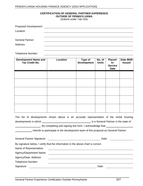#### **CERTIFICATION OF GENERAL PARTNER EXPERIENCE OUTSIDE OF PENNSYLVANIA**

| <b>Proposed Development:</b> |  |
|------------------------------|--|
| Location:                    |  |
|                              |  |
| <b>General Partner:</b>      |  |
| Address:                     |  |
|                              |  |

Telephone Number:

| Development Name and<br>Tax Credit No. | <b>Location</b> | <b>Type of</b><br>  Development   Units | No. of $ $ | $\mathsf{In}$ -<br><b>Service</b><br>Date | Placed- $\vert$ Date 8609<br><b>Issued</b> |
|----------------------------------------|-----------------|-----------------------------------------|------------|-------------------------------------------|--------------------------------------------|
|                                        |                 |                                         |            |                                           |                                            |
|                                        |                 |                                         |            |                                           |                                            |
|                                        |                 |                                         |            |                                           |                                            |
|                                        |                 |                                         |            |                                           |                                            |
|                                        |                 |                                         |            |                                           |                                            |

| The list of developments shown above is an accurate representation of the rental housing |                                      |  |  |
|------------------------------------------------------------------------------------------|--------------------------------------|--|--|
| developments in which                                                                    | is a General Partner in the state of |  |  |
| . By completing and signing this form, I acknowledge that                                |                                      |  |  |

intends to participate in the development team of this proposal as General Partner.

| General<br>Signature:<br>Partner | $\lambda$<br><br>๛๛ |  |  |
|----------------------------------|---------------------|--|--|
|                                  |                     |  |  |

By signature below, I verify that the information in the above chart is correct.

Name of Representative:

Agency/Department Name:

Agency/Dept. Address:

Telephone Number:

Signature: Signature: Signature: Signature: Signature: Signature: Signature: Signature: Signature: Signature: Signature: Signature: Signature: Signature: Signature: Signature: Signature: Signature: Signature: Signature: Si

General Partner Experience Certification Outside Pennsylvania 207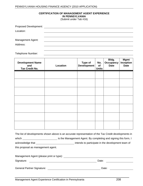#### **CERTIFICATION OF MANAGEMENT AGENT EXPERIENCE IN PENNSYLVANIA**

(Submit under Tab #16)

| Proposed Development:    |  |
|--------------------------|--|
| Location:                |  |
|                          |  |
| <b>Management Agent:</b> |  |
| Address:                 |  |
|                          |  |

Telephone Number:

| <b>Development Name</b><br>and<br>Tax Credit No. | <b>Location</b> | <b>Mgmt</b><br><b>No.</b> Occupancy Inception<br>Date Details<br>Units |  |  |
|--------------------------------------------------|-----------------|------------------------------------------------------------------------|--|--|
|                                                  |                 |                                                                        |  |  |
|                                                  |                 |                                                                        |  |  |
|                                                  |                 |                                                                        |  |  |
|                                                  |                 |                                                                        |  |  |
|                                                  |                 |                                                                        |  |  |
|                                                  |                 |                                                                        |  |  |
|                                                  |                 |                                                                        |  |  |
|                                                  |                 |                                                                        |  |  |

|                                    | The list of developments shown above is an accurate representation of the Tax Credit developments in |
|------------------------------------|------------------------------------------------------------------------------------------------------|
| which                              | is the Management Agent. By completing and signing this form, I                                      |
| acknowledge that                   | intends to participate in the development team of                                                    |
| this proposal as management agent. |                                                                                                      |

| Management Agent (please print or type): |       |  |
|------------------------------------------|-------|--|
| Signature:                               | Date: |  |
|                                          |       |  |
| <b>General Partner Signature:</b>        | Date: |  |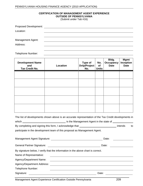#### **CERTIFICATION OF MANAGEMENT AGENT EXPERIENCE OUTSIDE OF PENNSYLVANIA**

(Submit under Tab #16)

| <b>Proposed Development:</b> |  |
|------------------------------|--|
| Location:                    |  |
|                              |  |
| <b>Management Agent:</b>     |  |
| Address:                     |  |
|                              |  |

Telephone Number:

| <b>Development Name</b><br>and<br><b>Tax Credit No.</b> | <b>Location</b> | <b>Type of</b><br>Dvlp/Project of<br>No. | <b>Units</b> | Bldg.<br>No.   Occupancy   Inception  <br><b>Date</b> | <b>Mgmt</b><br><b>Date</b> |
|---------------------------------------------------------|-----------------|------------------------------------------|--------------|-------------------------------------------------------|----------------------------|
|                                                         |                 |                                          |              |                                                       |                            |
|                                                         |                 |                                          |              |                                                       |                            |
|                                                         |                 |                                          |              |                                                       |                            |
|                                                         |                 |                                          |              |                                                       |                            |
|                                                         |                 |                                          |              |                                                       |                            |

|                                                                                  | The list of developments shown above is an accurate representation of the Tax Credit developments in |
|----------------------------------------------------------------------------------|------------------------------------------------------------------------------------------------------|
|                                                                                  |                                                                                                      |
|                                                                                  | By completing and signing this form, I acknowledge that ________________________________ intends to  |
| participate in the development team of this proposal as Management Agent.        |                                                                                                      |
| Management Agent Signature:                                                      | Date:                                                                                                |
| <b>General Partner Signature:</b>                                                | Date:                                                                                                |
| By signature below, I verify that the information in the above chart is correct. |                                                                                                      |
| Name of Representative:                                                          |                                                                                                      |
| Agency/Department Name:                                                          |                                                                                                      |
| Agency/Department Address:                                                       |                                                                                                      |

Telephone Number: <u>\_\_\_\_\_\_\_\_\_\_\_\_\_\_\_\_\_\_\_\_\_\_\_\_\_\_\_\_\_\_\_</u>

Signature: Date: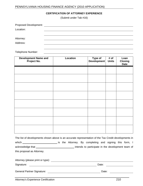## PENNSYLVANIA HOUSING FINANCE AGENCY (2010 APPLICATION)

#### **CERTIFICATION OF ATTORNEY EXPERIENCE**

(Submit under Tab #16)

| Proposed Development: |  |
|-----------------------|--|
| Location:             |  |
|                       |  |
| Attorney:             |  |
| Address:              |  |
|                       |  |

Telephone Number:

| Development Name and<br>Project No. | Location | Type of # of<br>Development Units | Loan<br><b>Closing</b><br><b>Date</b> |
|-------------------------------------|----------|-----------------------------------|---------------------------------------|
|                                     |          |                                   |                                       |
|                                     |          |                                   |                                       |
|                                     |          |                                   |                                       |
|                                     |          |                                   |                                       |
|                                     |          |                                   |                                       |
|                                     |          |                                   |                                       |
|                                     |          |                                   |                                       |
|                                     |          |                                   |                                       |

|                            | The list of developments shown above is an accurate representation of the Tax Credit developments in |
|----------------------------|------------------------------------------------------------------------------------------------------|
| which                      | is the Attorney. By completing and signing this form, I                                              |
| acknowledge that           | intends to participate in the development team of                                                    |
| this proposal as Attorney. |                                                                                                      |

| Attorney (please print or type):  |       |
|-----------------------------------|-------|
| Signature:                        | Date: |
| <b>General Partner Signature:</b> | Date: |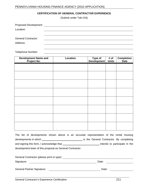#### PENNSYLVANIA HOUSING FINANCE AGENCY (2010 APPLICATION)

#### **CERTIFICATION OF GENERAL CONTRACTOR EXPERIENCE**

(Submit under Tab #16)

| <b>Proposed Development:</b> |  |
|------------------------------|--|
| Location:                    |  |
|                              |  |
| <b>General Contractor:</b>   |  |
| Address:                     |  |
|                              |  |

Telephone Number:

| Development Name and<br>Project No. | Location | Type of # of Completion<br>Development Units Date |  |
|-------------------------------------|----------|---------------------------------------------------|--|
|                                     |          |                                                   |  |
|                                     |          |                                                   |  |
|                                     |          |                                                   |  |
|                                     |          |                                                   |  |
|                                     |          |                                                   |  |
|                                     |          |                                                   |  |
|                                     |          |                                                   |  |
|                                     |          |                                                   |  |
|                                     |          |                                                   |  |
|                                     |          |                                                   |  |
|                                     |          |                                                   |  |

The list of developments shown above is an accurate representation of the rental housing developments in which is the General Contractor. By completing and signing this form, I acknowledge that intends to participate in the and signing this form, I acknowledge that development team of this proposal as General Contractor.

| General<br>Contractor (please print or type): |  |
|-----------------------------------------------|--|
| Signature:<br>Date:                           |  |
|                                               |  |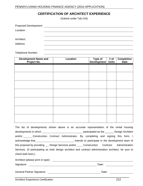# **CERTIFICATION OF ARCHITECT EXPERIENCE**

(Submit under Tab #16)

| <b>Proposed Development:</b> |  |
|------------------------------|--|
| Location:                    |  |
|                              |  |
| Architect:                   |  |
| Address:                     |  |
|                              |  |

Telephone Number:

| Development Name and<br>Project No. | <b>Location</b> | Type of # of Completion<br>Development Units Date |  |
|-------------------------------------|-----------------|---------------------------------------------------|--|
|                                     |                 |                                                   |  |
|                                     |                 |                                                   |  |
|                                     |                 |                                                   |  |
|                                     |                 |                                                   |  |
|                                     |                 |                                                   |  |
|                                     |                 |                                                   |  |
|                                     |                 |                                                   |  |
|                                     |                 |                                                   |  |
|                                     |                 |                                                   |  |
|                                     |                 |                                                   |  |

The list of developments shown above is an accurate representation of the rental housing developments in which participated as the \_\_\_\_\_\_ Design Architect and/or Construction Contract Administrator. By completing and signing this form, I acknowledge that \_\_\_\_\_\_\_\_\_\_\_\_\_\_\_\_\_\_\_\_\_\_\_\_\_\_\_\_\_\_\_\_\_ intends to participate in the development team of this proposal by providing CD Design Services and/or Construction Contract Administration Services. (If participating as both design architect and contract administration architect, be sure to check both lines.)

| Architect (please print or type): |       |
|-----------------------------------|-------|
| Signature:                        | Date: |
| <b>General Partner Signature:</b> | Date: |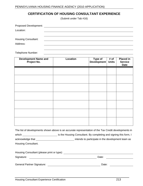# **CERTIFICATION OF HOUSING CONSULTANT EXPERIENCE**

(Submit under Tab #16)

| <b>Proposed Development:</b> |  |
|------------------------------|--|
| Location:                    |  |
|                              |  |
| <b>Housing Consultant:</b>   |  |
| Address:                     |  |
|                              |  |

Telephone Number:

| Development Name and<br>Project No. | Location | Type of # of<br>Development Units | <b>Placed in</b><br><b>Service</b><br>Date |
|-------------------------------------|----------|-----------------------------------|--------------------------------------------|
|                                     |          |                                   |                                            |
|                                     |          |                                   |                                            |
|                                     |          |                                   |                                            |
|                                     |          |                                   |                                            |
|                                     |          |                                   |                                            |
|                                     |          |                                   |                                            |
|                                     |          |                                   |                                            |

|                                            | The list of developments shown above is an accurate representation of the Tax Credit developments in |  |
|--------------------------------------------|------------------------------------------------------------------------------------------------------|--|
| which                                      | is the Housing Consultant. By completing and signing this form, I                                    |  |
| acknowledge that                           | intends to participate in the development team as                                                    |  |
| Housing Consultant.                        |                                                                                                      |  |
|                                            |                                                                                                      |  |
| Housing Consultant (please print or type): |                                                                                                      |  |
| Signature:                                 | Date:                                                                                                |  |
|                                            |                                                                                                      |  |
| <b>General Partner Signature:</b>          | Date:                                                                                                |  |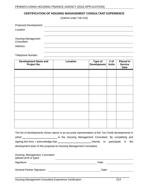## **CERTIFICATION OF HOUSING MANAGEMENT CONSULTANT EXPERIENCE**

(Submit under Tab #16)

| <b>Proposed Development:</b>      |  |
|-----------------------------------|--|
| Location:                         |  |
|                                   |  |
| Housing Management<br>Consultant: |  |
| Address:                          |  |
|                                   |  |

#### Telephone Number:

| Development Name and<br>Project No. | Location | Type of # of<br>Development Units | <b>Placed in</b><br><b>Service</b><br>Date |
|-------------------------------------|----------|-----------------------------------|--------------------------------------------|
|                                     |          |                                   |                                            |
|                                     |          |                                   |                                            |
|                                     |          |                                   |                                            |
|                                     |          |                                   |                                            |
|                                     |          |                                   |                                            |
|                                     |          |                                   |                                            |
|                                     |          |                                   |                                            |

|                                       | The list of developments shown above is an accurate representation of the Tax Credit developments in |
|---------------------------------------|------------------------------------------------------------------------------------------------------|
| which                                 | is the Housing Management Consultant. By completing and                                              |
| signing this form, I acknowledge that | intends to participate in the                                                                        |
|                                       | development team of this proposal as Housing Management Consultant.                                  |

| Housing Management Consultant<br>(please print or type): |       |  |
|----------------------------------------------------------|-------|--|
| Signature:                                               | Date: |  |
| <b>General Partner Signature:</b>                        | Date: |  |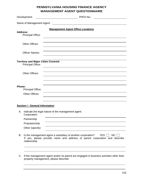# **PENNSYLVANIA HOUSING FINANCE AGENCY MANAGEMENT AGENT QUESTIONNAIRE**

| Development:                                                    | PHFA No.:                                                                                                                                                          |
|-----------------------------------------------------------------|--------------------------------------------------------------------------------------------------------------------------------------------------------------------|
| Name of Management Agent:                                       |                                                                                                                                                                    |
|                                                                 | <b>Management Agent Office Locations</b>                                                                                                                           |
| <b>Address:</b><br><b>Principal Office:</b>                     |                                                                                                                                                                    |
| Other Offices:                                                  |                                                                                                                                                                    |
| <b>Officer Names:</b>                                           |                                                                                                                                                                    |
| <b>Territory and Major Cities Covered:</b><br>Principal Office: |                                                                                                                                                                    |
| Other Offices:                                                  |                                                                                                                                                                    |
| Phone:<br><b>Principal Office:</b>                              |                                                                                                                                                                    |
| Other Offices:                                                  |                                                                                                                                                                    |
|                                                                 |                                                                                                                                                                    |
| <b>Section I - General Information</b>                          |                                                                                                                                                                    |
| Corporation                                                     | A. Indicate the legal nature of the management agent.                                                                                                              |
| Partnership                                                     | the contract of the contract of the contract of the contract of the contract of                                                                                    |
| Proprietorship                                                  |                                                                                                                                                                    |
| Other (specify)                                                 |                                                                                                                                                                    |
| relationship.                                                   | B. Is the management agent a subsidiary of another corporation? YES $\Box$ NO $\Box$<br>If yes, please provide name and address of parent corporation and describe |
|                                                                 |                                                                                                                                                                    |
| property management, please describe:                           | C. If the management agent and/or its parent are engaged in business activities other than                                                                         |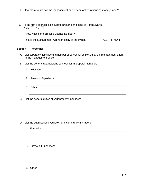D. How many years has the management agent been active in housing management?

| E. Is the firm a licensed Real Estate Broker in the state of Pennsylvania?<br>YES $\Box$ NO $\Box$                                                                                                                                                          |                                                                                                                      |
|-------------------------------------------------------------------------------------------------------------------------------------------------------------------------------------------------------------------------------------------------------------|----------------------------------------------------------------------------------------------------------------------|
| If yes, what is the Broker's License Number?                                                                                                                                                                                                                | <u> 1989 - Johann Barn, mars et al. (b. 1989)</u>                                                                    |
| If no, is the Management Agent an entity of the owner?                                                                                                                                                                                                      | YES $\Box$ NO $\Box$                                                                                                 |
| <b>Section II - Personnel</b>                                                                                                                                                                                                                               |                                                                                                                      |
| A. List separately job titles and number of personnel employed by the management agent<br>in the management office.                                                                                                                                         |                                                                                                                      |
| B. List the general qualifications you look for in property managers?                                                                                                                                                                                       |                                                                                                                      |
| 1. Education:                                                                                                                                                                                                                                               | <u> 1980 - Andrea Barbara, amerikan basar dan berasal dalam berasal dalam berasal dalam berasal dalam berasal da</u> |
| 2. Previous Experience:                                                                                                                                                                                                                                     |                                                                                                                      |
| <u> 1989 - Johann Stoff, deutscher Stoffen und der Stoffen und der Stoffen und der Stoffen und der Stoffen und der</u><br>3. Other:<br><u> 1980 - Andrea Barbara, amerikan basar dan berasal dalam berasal dalam berasal dalam berasal dalam berasal da</u> |                                                                                                                      |
| C. List the general duties of your property managers.                                                                                                                                                                                                       |                                                                                                                      |
| <u> 1989 - Johann Barn, mars ann an t-Amhainn an t-Amhainn an t-Amhainn an t-Amhainn an t-Amhainn an t-Amhainn an</u><br>,我们也不会有什么。""我们的人,我们也不会有什么?""我们的人,我们也不会有什么?""我们的人,我们也不会有什么?""我们的人,我们也不会有什么?""我们的人                                                   |                                                                                                                      |
| <u> 1989 - Johann Stoff, deutscher Stoffen und der Stoffen und der Stoffen und der Stoffen und der Stoffen und de</u>                                                                                                                                       |                                                                                                                      |
| D. List the qualifications you look for in community managers:                                                                                                                                                                                              |                                                                                                                      |
| 1. Education:                                                                                                                                                                                                                                               |                                                                                                                      |
|                                                                                                                                                                                                                                                             |                                                                                                                      |
|                                                                                                                                                                                                                                                             |                                                                                                                      |
| 2. Previous Experience:                                                                                                                                                                                                                                     |                                                                                                                      |
|                                                                                                                                                                                                                                                             |                                                                                                                      |
|                                                                                                                                                                                                                                                             |                                                                                                                      |
| 3. Other:                                                                                                                                                                                                                                                   |                                                                                                                      |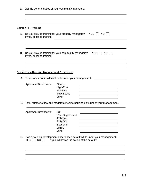E. List the general duties of your community managers:

| <b>Section III - Training</b>                     |                                                                                                                                                                                                        |                                                                                                                                                                                                                                               |
|---------------------------------------------------|--------------------------------------------------------------------------------------------------------------------------------------------------------------------------------------------------------|-----------------------------------------------------------------------------------------------------------------------------------------------------------------------------------------------------------------------------------------------|
| If yes, describe training:                        | A. Do you provide training for your property managers? YES NO D<br><u> 1989 - Johann Stoff, deutscher Stoffen und der Stoffen und der Stoffen und der Stoffen und der Stoffen und de</u>               |                                                                                                                                                                                                                                               |
| If yes, describe training:                        | B. Do you provide training for your community managers? YES $\Box$ NO $\Box$<br><u> 1989 - Johann Barn, mars ann an t-Amhain ann an t-Amhain ann an t-Amhain ann an t-Amhain an t-Amhain ann an t-</u> |                                                                                                                                                                                                                                               |
| <b>Section IV - Housing Management Experience</b> | <u> 1989 - Johann Stoff, deutscher Stoffen und der Stoffen und der Stoffen und der Stoffen und der Stoffen und der</u>                                                                                 |                                                                                                                                                                                                                                               |
|                                                   | A. Total number of residential units under your management:                                                                                                                                            | <u> 1990 - Johann Barbara, martin a</u>                                                                                                                                                                                                       |
| <b>Apartment Breakdown:</b>                       | Garden<br>High-Rise<br>Mid-Rise<br>Townhouse<br>Other                                                                                                                                                  | <u> Alexandria de la contrada de la contrada de la contrada de la contrada de la contrada de la contrada de la c</u><br><u> 1989 - Jan Barnett, fransk politiker (d. 1989)</u><br><u> 1989 - Johann Stoff, Amerikaansk politiker (* 1908)</u> |
|                                                   | B. Total number of low and moderate income housing units under your management.                                                                                                                        |                                                                                                                                                                                                                                               |
| Apartment Breakdown:                              | 236<br><b>Rent Supplement</b><br>221(d)(4)<br>221(d)(3)<br>Section 8<br><b>LIHTC</b><br>Other                                                                                                          | <u> 2000 - Andrea Andrew Maria (h. 18</u><br><u> 2000 - Andrea Andrew Maria (h. 1878).</u>                                                                                                                                                    |
|                                                   | C. Has a housing development experienced default while under your management?<br>YES $\Box$ NO $\Box$ If yes, what was the cause of the default?                                                       |                                                                                                                                                                                                                                               |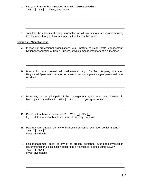| D. Has your firm ever been involved in an FHA 2530 proceeding?<br>$YES \Box NO \Box$ If yes, give details:                                                                                                                                                                                                                                                                                                                                  |  |  |  |
|---------------------------------------------------------------------------------------------------------------------------------------------------------------------------------------------------------------------------------------------------------------------------------------------------------------------------------------------------------------------------------------------------------------------------------------------|--|--|--|
| <u> 1989 - Andrea Santa Andrea Andrea Andrea Andrea Andrea Andrea Andrea Andrea Andrea Andrea Andrea Andrea Andr</u><br><u> 1989 - Johann Stoff, deutscher Stoffen und der Stoffen und der Stoffen und der Stoffen und der Stoffen und der</u><br>E. Complete the attachment listing information on all low or moderate income housing<br>developments that you have managed within the last two years.<br><b>Section V - Miscellaneous</b> |  |  |  |
| A. Please list professional organizations, e.g., Institute of Real Estate Management,<br>National Association of Home Builders, of which management agent is a member:                                                                                                                                                                                                                                                                      |  |  |  |
| B. Please list any professional designations, e.g., Certified Property Manager,<br>Registered Apartment Manager, or awards that management agent personnel have<br>received:                                                                                                                                                                                                                                                                |  |  |  |
| C. Have any of the principals of the management agent ever been involved in bankruptcy proceedings? YES $\Box$ NO $\Box$ If yes, give details:                                                                                                                                                                                                                                                                                              |  |  |  |
| D. Does the firm have a fidelity bond? YES $\Box$ NO $\Box$<br>If yes, state amount of bond and name of bonding company:                                                                                                                                                                                                                                                                                                                    |  |  |  |
| E. Has management agent or any of its present personnel ever been denied a bond?<br>YES $\Box$ NO $\Box$<br>If yes, give details:                                                                                                                                                                                                                                                                                                           |  |  |  |
| F. Has management agent or any of its present personnel ever been involved in<br>governmental or judicial action concerning a violation of "Fair Housing" Laws?<br>YES D NO D<br>If yes, give details:                                                                                                                                                                                                                                      |  |  |  |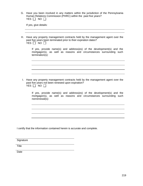| Have you been involved in any matters within the jurisdiction of the Pennsylvania |  |
|-----------------------------------------------------------------------------------|--|
| an Relations Commission (PHRC) within the past five years?                        |  |
| $\sqrt{2}$<br>.<br>-NO<br>ㄴ ㄴ ㄴ ㄴ                                                 |  |

If yes, give details:

| Have any property management contracts held by the management agent over the |  |
|------------------------------------------------------------------------------|--|
| past five years been terminated prior to their expiration dates?             |  |
| $N(\lambda)$<br>∟◡                                                           |  |

If yes, provide name(s) and address(es) of the development(s) and the mortgagor(s), as well as reasons and circumstances surrounding such termination(s):

I. Have any property management contracts held by the management agent over the past five years not been renewed upon expiration? YES NO ∐

| If yes, provide name(s) and address(es) of the development(s) and the |  |
|-----------------------------------------------------------------------|--|
| mortgagor(s), as well as reasons and circumstances surrounding such   |  |
| nonrenewal(s):                                                        |  |

I certify that the information contained herein is accurate and complete.

Signature **Structure** and the structure of the structure of the structure of the structure of the structure of the structure of the structure of the structure of the structure of the structure of the structure of the struc

Title

Date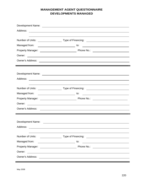# **MANAGEMENT AGENT QUESTIONNAIRE DEVELOPMENTS MANAGED**

|                  | Owner:                                                        |                                                                                                                    |
|------------------|---------------------------------------------------------------|--------------------------------------------------------------------------------------------------------------------|
|                  |                                                               |                                                                                                                    |
|                  |                                                               |                                                                                                                    |
|                  |                                                               |                                                                                                                    |
|                  |                                                               |                                                                                                                    |
|                  |                                                               |                                                                                                                    |
|                  |                                                               |                                                                                                                    |
|                  |                                                               |                                                                                                                    |
|                  |                                                               |                                                                                                                    |
|                  |                                                               |                                                                                                                    |
|                  |                                                               |                                                                                                                    |
|                  |                                                               |                                                                                                                    |
|                  |                                                               |                                                                                                                    |
|                  |                                                               |                                                                                                                    |
|                  |                                                               |                                                                                                                    |
| Number of Units: | Type of Financing: <u>___________________________________</u> |                                                                                                                    |
| Managed from:    | to:                                                           | <u> 1980 - Jan Stein Harry Harry Harry Harry Harry Harry Harry Harry Harry Harry Harry Harry Harry Harry Harry</u> |
|                  |                                                               |                                                                                                                    |
|                  |                                                               |                                                                                                                    |
| Owner's Address: |                                                               |                                                                                                                    |
|                  |                                                               |                                                                                                                    |

May 2008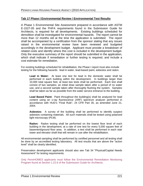#### **Tab 17 Phase I Environmental Review / Environmental Test Results**

A Phase 1 Environmental Site Assessment prepared in accordance with ASTM E-1527-05 and the PHFA requirements found in the Submission Guide for Architects, is required for all developments. Existing buildings scheduled for demolition shall be investigated for environmental hazards. The report cannot be more than 12 months old at the time the application is submitted. The report shall be accompanied by a certification from the sponsor stating that any issues raised in the environmental review have been reviewed and budgeted accordingly in the development budget. Applicant must provide a breakdown of related costs and identify where this cost is included in the development budget. Only the executive summary of the report should be submitted in the application, which shall indicate if remediation or further testing is required, and include a cost estimate for remediation.

For existing buildings scheduled for rehabilitation, the Phase I report must also include testing for the following hazards: lead in water, lead-based paint, asbestos and radon.

**Lead in Water:** At least one test for lead in the domestic water shall be performed in each building within the development. In buildings larger than 10,000 total square feet, at least two tests shall be performed. Each test shall consist of two samples; an initial draw sample taken after a period of no water use, and a second sample taken after thoroughly flushing the system. Samples shall be taken as far as possible from the water service entrance to the building.

**Lead Based Paint:** Paint throughout the building(s) shall be analyzed for lead content using an x-ray fluorescence (XRF) spectrum analyzer performed in accordance with HUD's "Final Rule", 24 CFR Part 35, as amended June 21, 2004.

**Asbestos:** A survey of the building shall be performed to identify suspect asbestos containing materials. All such materials shall be tested using polarized light microscopy (PLM).

**Radon:** Radon testing shall be performed on the lowest floor level of each building in the development, at a rate of one test for every 5,000 square feet of basement/ground floor area. In addition, a test shall be performed in each stair tower and elevator shaft that will remain in use after the rehabilitation.

All environmental sampling shall be performed by certified personnel and all testing shall be done by an accredited testing laboratory. All test results that are above the "action level" shall be clearly identified.

Preservation development applicants should also see Tab 34 "Physical/Capital Needs Assessment" for testing requirements.

Only PennHOMES applicants must follow the Environmental Remediation Monitoring Program found at Section 1.22.6 of the Submission Guide for Architects.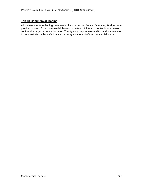### **Tab 18 Commercial Income**

All developments reflecting commercial income in the Annual Operating Budget must provide copies of the commercial leases or letters of intent to enter into a lease to confirm the projected rental income. The Agency may require additional documentation to demonstrate the lessor's financial capacity as a tenant of the commercial space.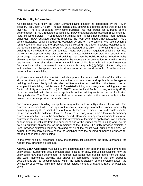### **Tab 19 Utility Information**

All applicants must follow the Utility Allowance Determination as established by the IRS in Treasury Regulation 1.42-10. The appropriate utility allowance depends on the type of building involved. The IRS separates low-income buildings into four groups for purposes of this determination: (1) HUD regulated buildings; (2) HUD tenant assistance (Section 8) buildings; (3) Rural Housing Service (RHS) regulated buildings; and (4) all other buildings (non-regulated buildings). HUD regulated buildings must use the HUD-determined utility allowance. HUD tenant assistance buildings (buildings occupied by one or more tenants who use Section 8 rental vouchers) must use the applicable Public Housing Authority's Allowance established for the Section 8 Existing Housing Program for the assisted units only. The remaining units in the building are considered to be non-regulated. Rural Development regulated buildings must use the Rural Development utility allowance. Non-regulated buildings constitute the residual group of buildings. Non-regulated units and buildings must use the Public Housing Authority's utility allowance unless an interested party obtains the necessary documentation for a waiver of this requirement. If the utility allowance for any unit in the building is established through estimates from the local utility companies in accordance with paragraph (b)(4)(ii)(B) of the Code, that estimate becomes the appropriate utility allowance for all rent restricted units of similar size and construction in the building.

Applicants must submit documentation which supports the tenant paid portion of the utility cost shown on the Application. The documentation must be current and applicable to the type of building, and must clearly indicate which utilities are the responsibility of the tenant. As an example, if the building qualifies as a HUD assisted building or non-regulated building, a current Section 8 Utility Allowance Form (HUD 52667) from the local Public Housing Authority (PHA) must be provided, with the amounts applicable to the building contained in the Application clearly indicated. The PHA must note that the schedule provided is the one currently in effect unless the schedule provided is clearly current.

For a non-regulated building, an applicant may obtain a local utility estimate for a unit. The estimate is obtained when the applicant receives, in writing, information from a local utility company providing the estimated cost of that utility for a unit of similar size and construction for the area in which the building is located. An interested party may obtain a local utility company estimate at any time during the compliance period. However, an applicant choosing to utilize an estimate in the Application must provide this information at the time of application. (An applicant cannot obtain an estimate from the supplier of one of the utilities for the building and use the housing authority allowances for the remainder of the utilities. If a utility provider estimate is used, provider estimates must be obtained for all of the tenant-paid utilities at the site. An actual utility company estimate cannot be combined with the housing authority allowances for the remainder of the utility costs.)

In the event the IRS proscribes a new methodology for calculating the utility allowance, the Agency may amend this procedure.

**Agency Loan Applicants** must also submit documentation that supports the development-paid utility costs. Supporting documentation shall discuss or show through calculations how the utility costs have been determined. In addition, applicants must submit letters from the sewer and water authorities, electric, gas and/or oil companies indicating that the proposed development can be accommodated within the current capacity of the systems and/or the availability of services. This information must include monthly or quarterly rates for water and sewer.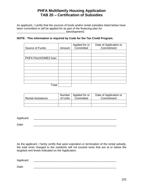# **PHFA Multifamily Housing Application TAB 20 Certification of Subsidies**

As applicant, I certify that the sources of funds and/or rental subsidies listed below have been committed or will be applied for as part of the financing plan for<br>(development):

#### **NOTE: This information is required by Code for the Tax Credit Program.**

| Source of Funds     | Amount | Applied for or<br>Committed | Date of Application or<br>Commitment |
|---------------------|--------|-----------------------------|--------------------------------------|
|                     |        |                             |                                      |
| PHFA PennHOMES loan |        |                             |                                      |
|                     |        |                             |                                      |
|                     |        |                             |                                      |
|                     |        |                             |                                      |
|                     |        |                             |                                      |
| Total               |        |                             |                                      |

|                          | Number   | . Applied for or $\perp$ | Date of Application or |
|--------------------------|----------|--------------------------|------------------------|
| <b>Rental Assistance</b> | of Units | Committed                | Commitment             |
|                          |          |                          |                        |
|                          |          |                          |                        |

Applicant:

Date:  $\Box$ 

As the applicant, I herby certify that upon expiration or termination of the rental subsidy, the total rents charged to the residents will not exceed rents that are at or below the targeted rent levels indicated on the Application.

Applicant:

Date:  $\Box$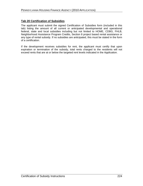#### **Tab 20 Certification of Subsidies**

The applicant must submit the signed Certification of Subsidies form (included in this tab) listing the amount of all current or anticipated developmental and operational federal, state and local subsidies including but not limited to HOME, CDBG, FHLB, Neighborhood Assistance Program Credits, Section 8 project based rental assistance or any type of rental subsidy. If no subsidies are anticipated, this must be stated in the form of a certification.

If the development receives subsidies for rent, the applicant must certify that upon expiration or termination of the subsidy, total rents charged to the residents will not exceed rents that are at or below the targeted rent levels indicated in the Application.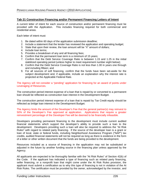#### **Tab 21 Construction Financing and/or Permanent Financing Letters of Intent**

A current letter of intent for each source of construction and/or permanent financing must be provided with the Application. This includes financing required for both commercial and residential areas.

Each letter of intent must:

- 1. Be dated within 60 days of the application submission deadline;
- 2. Include a statement that the lender has reviewed the application and operating budget;
- 3. State that upon their review, the loan amount will be "X" amount of dollars;
- 4. Include loan terms;
- 5. Provides a breakdown of any and all financing fees;
- 6. Confirm that the permanent loan term is a minimum of 15 years;
- 7. Confirm that the Debt Service Coverage Ratio is between 1.15 and 1.25 in the initial stabilized operating period (unless higher to meet requirement number eight below);
- 8. Confirm that the Debt Service Coverage Ratio is not less than 1.00 in years one through and including fifteen; and
- 9. For all sources of soft financing, confirm that the funds have been set-aside for the subject development and, if applicable, include an explanation why the interest rate is projected at the Applicable Federal Rate.

The Agency will not consider a "pending" application for financing for an award of points under Leveraging of Resources.

The construction period interest expense of a loan that is repaid by or converted to a permanent loan should be reflected as construction loan interest in the Development Budget.

The construction period interest expense of a loan that is repaid by Tax Credit equity should be reflected as bridge loan interest in the Development Budget.

The Agency limits the amount of the Developer's Fee that the general partner(s) may reinvest to 50% of the Developer's Fee approved at application. Applications that require a greater reinvestment percentage of the Developer Fee will be deemed to be financially infeasible.

Developers providing permanent financing to the development must include current audited financial statements which support the developer's ability to provide such a loan to the development. Developers providing such a loan will also be required to address the "At Risk Rules" with regard to related party financing. If the source of the developer loan is a grant or loan of local, state or federal funds, including Neighborhood Assistance Program ("NAP") tax credits, audited financial statements will not be required as long as there is evidence in the form of a letter or other written document that the funds are being provided to the development.

Resources included as a source of financing in the application may not be substituted or adjusted in the future by another funding source in the financing plan unless approved by the Agency.

All applicants are expected to be thoroughly familiar with the "At Risk Rules" of Section 42(k) of the Code. If the applicant has indicated a type of financing such as related party financing, seller financing, or a nonprofit loan that might come under the At Risk Rules provision, the applicant must submit a certification as to why this type of financing is not in violation of the At Risk Rules. The certification must be provided by the owner, acknowledged by the investor, and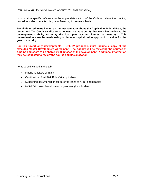must provide specific reference to the appropriate section of the Code or relevant accounting procedures which permits this type of financing to remain in basis.

**For all deferred loans having an interest rate at or above the Applicable Federal Rate, the lender and Tax Credit syndicator or investor(s) must certify that each has reviewed the development s ability to repay the loan plus accrued interest at maturity. This determination must be made using an income capitalization approach to value for the year of maturity.**

**For Tax Credit only developments, HOPE IV proposals must include a copy of the executed Master Development Agreement. The Agency will be reviewing the sources of funding and costs to be shared by all phases of the development. Additional information may be requested to review the source and use allocation.** 

Items to be included in this tab:

- Financing letters of intent
- Certification of "At Risk Rules" (if applicable)
- Supporting documentation for deferred loans at AFR (if applicable)
- HOPE VI Master Development Agreement (if applicable)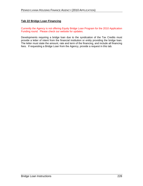### **Tab 22 Bridge Loan Financing**

Currently the Agency is not offering Equity Bridge Loan Program for the 2010 Application Funding round. Please check our website for updates.

Developments requiring a bridge loan due to the syndication of the Tax Credits must provide a letter of intent from the financial institution or entity providing the bridge loan. The letter must state the amount, rate and term of the financing, and include all financing fees. If requesting a Bridge Loan from the Agency, provide a request in this tab.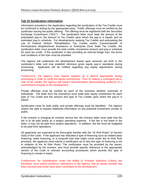#### **Tab 23 Syndication Information**

Information provided in the Application regarding the syndication of the Tax Credits must be confirmed in writing by the appropriate party. Public offerings must be verified by the syndicator issuing the public offering. The offering must be registered with the Securities Exchange Commission ("SEC"). The syndication letter must state the amount of the anticipated pay-in, the amount of Tax Credits upon which the pay-in is based, and an estimated pay-in schedule. For developments seeking Tax Credits and anticipating the use of Federal Historic Rehabilitation Tax Credits and/or Commonwealth of Pennsylvania Neighborhood Assistance or Enterprise Zone State Tax Credits, the syndication letter must provide the total credits, investment amount and pay-in schedule for each tax credit. If the syndicator is also providing an internal bridge loan, the terms and conditions of the loan must be provided.

The Agency will underwrite the development based upon amounts set forth in the syndicator's letter and may establish minimum gross equity pay-in standards during processing. Applicants will be notified regarding any equity adjustments during processing. The contract of the contract of the contract of the contract of the contract of the contract of the contract of the contract of the contract of the contract of the contract of the contract of the contract of th

Furthermore, the Agency may require updates as it deems appropriate during processing in order to verify the equity commitment. Prior to making a contingent set-a side of tax credits, the Agency will require documentation demonstrating evidence of a commitment of equity to the development.

Private offerings must be verified by each of the investors whether corporate or individuals. The letter from the investor(s) must state their equity contribution for each type of Tax Credit and the amount and type of Tax Credits upon which the pay-in is based. The contract of the contract of the contract of the contract of the contract of the contract of the contract of the contract of the contract of the contract of the contract of the contract of the contract of the con

Syndication costs for both public and private offerings must be identified. The Agency retains the right to request additional information on any potential investment, private or public. And the contract of the contract of the contract of the contract of the contract of the contract of the

If the investor is charging an investor service fee, the investor letter must state that the fee is to be paid yearly as a project operating expense. If the fee is not listed in the letter, it may not be paid from project operations. In addition, the fee must be budgeted to be paid from operations.

All applicants are expected to be thoroughly familiar with the "At Risk Rules" of Section 42(k) of the Code. If the applicant has indicated a type of financing such as related party financing, seller financing, or a nonprofit loan that might come under the At Risk Rule provision, the applicant must submit a certification as to why this type of financing is not in violation of the At Risk Rules. The certification must be provided by the owner, acknowledged by the investor, and must provide specific reference to the appropriate section of the Code or relevant accounting procedures which permits this type of financing to remain in basis.

Furthermore, for consideration under the Ability to Proceed Selection Criteria, the developer must submit evidence, satisfactory to the Agency that an equity investor has been secured and funds have been committed to the development.